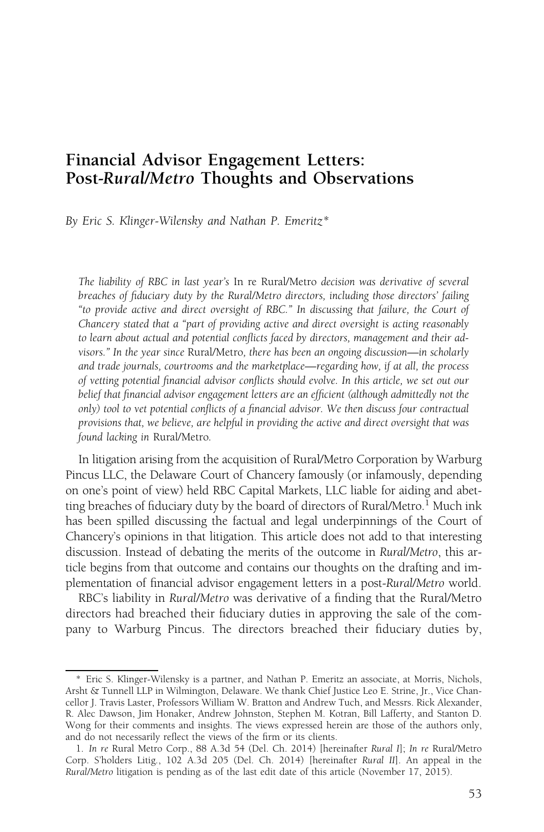# Financial Advisor Engagement Letters: Post-Rural/Metro Thoughts and Observations

By Eric S. Klinger-Wilensky and Nathan P. Emeritz\*

The liability of RBC in last year's In re Rural/Metro decision was derivative of several breaches of fiduciary duty by the Rural/Metro directors, including those directors' failing "to provide active and direct oversight of RBC." In discussing that failure, the Court of Chancery stated that a "part of providing active and direct oversight is acting reasonably to learn about actual and potential conflicts faced by directors, management and their advisors." In the year since Rural/Metro, there has been an ongoing discussion—in scholarly and trade journals, courtrooms and the marketplace—regarding how, if at all, the process of vetting potential financial advisor conflicts should evolve. In this article, we set out our belief that financial advisor engagement letters are an efficient (although admittedly not the only) tool to vet potential conflicts of a financial advisor. We then discuss four contractual provisions that, we believe, are helpful in providing the active and direct oversight that was found lacking in Rural/Metro.

In litigation arising from the acquisition of Rural/Metro Corporation by Warburg Pincus LLC, the Delaware Court of Chancery famously (or infamously, depending on one's point of view) held RBC Capital Markets, LLC liable for aiding and abetting breaches of fiduciary duty by the board of directors of Rural/Metro.<sup>1</sup> Much ink has been spilled discussing the factual and legal underpinnings of the Court of Chancery's opinions in that litigation. This article does not add to that interesting discussion. Instead of debating the merits of the outcome in Rural/Metro, this article begins from that outcome and contains our thoughts on the drafting and implementation of financial advisor engagement letters in a post-Rural/Metro world.

RBC's liability in Rural/Metro was derivative of a finding that the Rural/Metro directors had breached their fiduciary duties in approving the sale of the company to Warburg Pincus. The directors breached their fiduciary duties by,

<sup>\*</sup> Eric S. Klinger-Wilensky is a partner, and Nathan P. Emeritz an associate, at Morris, Nichols, Arsht & Tunnell LLP in Wilmington, Delaware. We thank Chief Justice Leo E. Strine, Jr., Vice Chancellor J. Travis Laster, Professors William W. Bratton and Andrew Tuch, and Messrs. Rick Alexander, R. Alec Dawson, Jim Honaker, Andrew Johnston, Stephen M. Kotran, Bill Lafferty, and Stanton D. Wong for their comments and insights. The views expressed herein are those of the authors only, and do not necessarily reflect the views of the firm or its clients.

<sup>1.</sup> In re Rural Metro Corp., 88 A.3d 54 (Del. Ch. 2014) [hereinafter Rural I]; In re Rural/Metro Corp. S'holders Litig., 102 A.3d 205 (Del. Ch. 2014) [hereinafter Rural II]. An appeal in the Rural/Metro litigation is pending as of the last edit date of this article (November 17, 2015).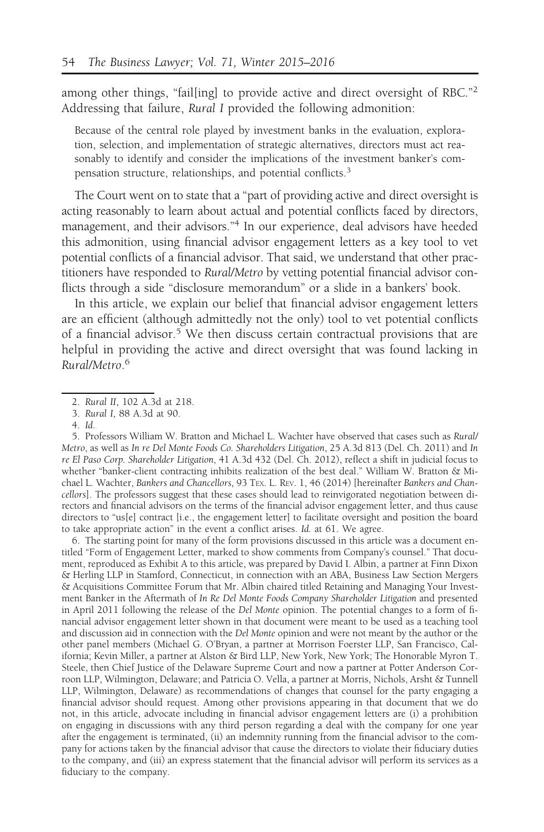among other things, "fail[ing] to provide active and direct oversight of RBC."<sup>2</sup> Addressing that failure, Rural I provided the following admonition:

Because of the central role played by investment banks in the evaluation, exploration, selection, and implementation of strategic alternatives, directors must act reasonably to identify and consider the implications of the investment banker's compensation structure, relationships, and potential conflicts.<sup>3</sup>

The Court went on to state that a "part of providing active and direct oversight is acting reasonably to learn about actual and potential conflicts faced by directors, management, and their advisors."<sup>4</sup> In our experience, deal advisors have heeded this admonition, using financial advisor engagement letters as a key tool to vet potential conflicts of a financial advisor. That said, we understand that other practitioners have responded to Rural/Metro by vetting potential financial advisor conflicts through a side "disclosure memorandum" or a slide in a bankers' book.

In this article, we explain our belief that financial advisor engagement letters are an efficient (although admittedly not the only) tool to vet potential conflicts of a financial advisor.<sup>5</sup> We then discuss certain contractual provisions that are helpful in providing the active and direct oversight that was found lacking in Rural/Metro. 6

6. The starting point for many of the form provisions discussed in this article was a document entitled "Form of Engagement Letter, marked to show comments from Company's counsel." That document, reproduced as Exhibit A to this article, was prepared by David I. Albin, a partner at Finn Dixon & Herling LLP in Stamford, Connecticut, in connection with an ABA, Business Law Section Mergers & Acquisitions Committee Forum that Mr. Albin chaired titled Retaining and Managing Your Investment Banker in the Aftermath of In Re Del Monte Foods Company Shareholder Litigation and presented in April 2011 following the release of the Del Monte opinion. The potential changes to a form of financial advisor engagement letter shown in that document were meant to be used as a teaching tool and discussion aid in connection with the Del Monte opinion and were not meant by the author or the other panel members (Michael G. O'Bryan, a partner at Morrison Foerster LLP, San Francisco, California; Kevin Miller, a partner at Alston & Bird LLP, New York, New York; The Honorable Myron T. Steele, then Chief Justice of the Delaware Supreme Court and now a partner at Potter Anderson Corroon LLP, Wilmington, Delaware; and Patricia O. Vella, a partner at Morris, Nichols, Arsht & Tunnell LLP, Wilmington, Delaware) as recommendations of changes that counsel for the party engaging a financial advisor should request. Among other provisions appearing in that document that we do not, in this article, advocate including in financial advisor engagement letters are (i) a prohibition on engaging in discussions with any third person regarding a deal with the company for one year after the engagement is terminated, (ii) an indemnity running from the financial advisor to the company for actions taken by the financial advisor that cause the directors to violate their fiduciary duties to the company, and (iii) an express statement that the financial advisor will perform its services as a fiduciary to the company.

<sup>2.</sup> Rural II, 102 A.3d at 218.

<sup>3.</sup> Rural I, 88 A.3d at 90.

<sup>4.</sup> Id.

<sup>5.</sup> Professors William W. Bratton and Michael L. Wachter have observed that cases such as Rural/ Metro, as well as In re Del Monte Foods Co. Shareholders Litigation, 25 A.3d 813 (Del. Ch. 2011) and In re El Paso Corp. Shareholder Litigation, 41 A.3d 432 (Del. Ch. 2012), reflect a shift in judicial focus to whether "banker-client contracting inhibits realization of the best deal." William W. Bratton & Michael L. Wachter, Bankers and Chancellors, 93 TEx. L. REV. 1, 46 (2014) [hereinafter Bankers and Chancellors]. The professors suggest that these cases should lead to reinvigorated negotiation between directors and financial advisors on the terms of the financial advisor engagement letter, and thus cause directors to "us[e] contract [i.e., the engagement letter] to facilitate oversight and position the board to take appropriate action" in the event a conflict arises. Id. at 61. We agree.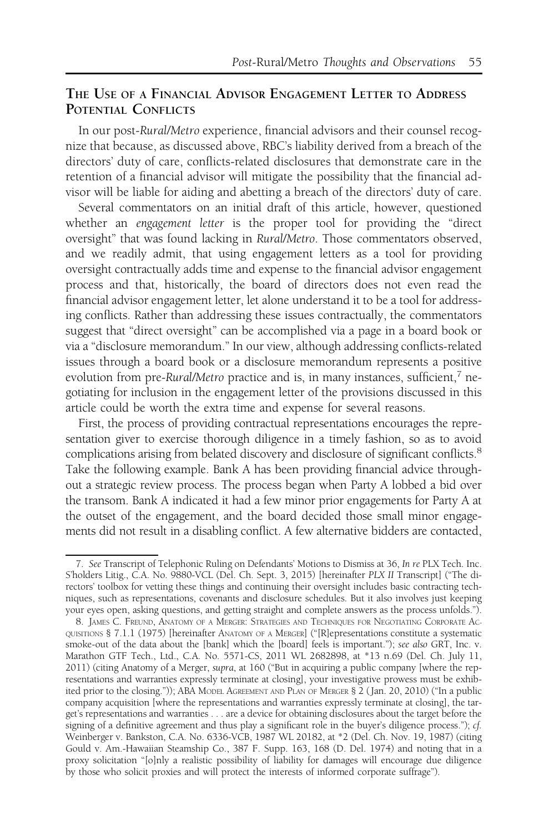# THE USE OF A FINANCIAL ADVISOR ENGAGEMENT LETTER TO ADDRESS POTENTIAL CONFLICTS

In our post-Rural/Metro experience, financial advisors and their counsel recognize that because, as discussed above, RBC's liability derived from a breach of the directors' duty of care, conflicts-related disclosures that demonstrate care in the retention of a financial advisor will mitigate the possibility that the financial advisor will be liable for aiding and abetting a breach of the directors' duty of care.

Several commentators on an initial draft of this article, however, questioned whether an engagement letter is the proper tool for providing the "direct oversight" that was found lacking in Rural/Metro. Those commentators observed, and we readily admit, that using engagement letters as a tool for providing oversight contractually adds time and expense to the financial advisor engagement process and that, historically, the board of directors does not even read the financial advisor engagement letter, let alone understand it to be a tool for addressing conflicts. Rather than addressing these issues contractually, the commentators suggest that "direct oversight" can be accomplished via a page in a board book or via a "disclosure memorandum." In our view, although addressing conflicts-related issues through a board book or a disclosure memorandum represents a positive evolution from pre-Rural/Metro practice and is, in many instances, sufficient,<sup>7</sup> negotiating for inclusion in the engagement letter of the provisions discussed in this article could be worth the extra time and expense for several reasons.

First, the process of providing contractual representations encourages the representation giver to exercise thorough diligence in a timely fashion, so as to avoid complications arising from belated discovery and disclosure of significant conflicts.<sup>8</sup> Take the following example. Bank A has been providing financial advice throughout a strategic review process. The process began when Party A lobbed a bid over the transom. Bank A indicated it had a few minor prior engagements for Party A at the outset of the engagement, and the board decided those small minor engagements did not result in a disabling conflict. A few alternative bidders are contacted,

<sup>7.</sup> See Transcript of Telephonic Ruling on Defendants' Motions to Dismiss at 36, In re PLX Tech. Inc. S'holders Litig., C.A. No. 9880-VCL (Del. Ch. Sept. 3, 2015) [hereinafter PLX II Transcript] ("The directors' toolbox for vetting these things and continuing their oversight includes basic contracting techniques, such as representations, covenants and disclosure schedules. But it also involves just keeping your eyes open, asking questions, and getting straight and complete answers as the process unfolds.").

<sup>8.</sup> JAMES C. FREUND, ANATOMY OF A MERGER: STRATEGIES AND TECHNIQUES FOR NEGOTIATING CORPORATE AC-QUISITIONS § 7.1.1 (1975) [hereinafter ANATOMY OF A MERGER] ("[R]epresentations constitute a systematic smoke-out of the data about the [bank] which the [board] feels is important."); see also GRT, Inc. v. Marathon GTF Tech., Ltd., C.A. No. 5571-CS, 2011 WL 2682898, at \*13 n.69 (Del. Ch. July 11, 2011) (citing Anatomy of a Merger, supra, at 160 ("But in acquiring a public company [where the representations and warranties expressly terminate at closing], your investigative prowess must be exhibited prior to the closing.")); ABA MODEL AGREEMENT AND PLAN OF MERGER § 2 ( Jan. 20, 2010) ("In a public company acquisition [where the representations and warranties expressly terminate at closing], the target's representations and warranties . . . are a device for obtaining disclosures about the target before the signing of a definitive agreement and thus play a significant role in the buyer's diligence process."); cf. Weinberger v. Bankston, C.A. No. 6336-VCB, 1987 WL 20182, at \*2 (Del. Ch. Nov. 19, 1987) (citing Gould v. Am.-Hawaiian Steamship Co., 387 F. Supp. 163, 168 (D. Del. 1974) and noting that in a proxy solicitation "[o]nly a realistic possibility of liability for damages will encourage due diligence by those who solicit proxies and will protect the interests of informed corporate suffrage").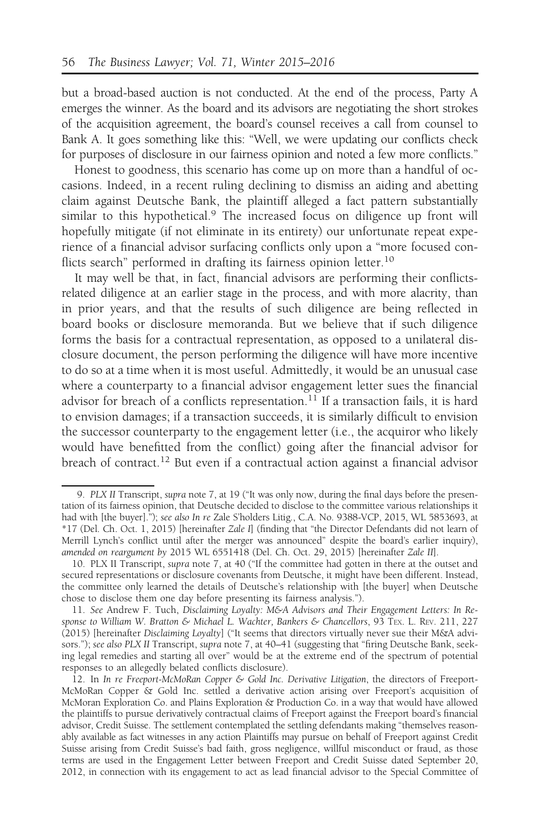but a broad-based auction is not conducted. At the end of the process, Party A emerges the winner. As the board and its advisors are negotiating the short strokes of the acquisition agreement, the board's counsel receives a call from counsel to Bank A. It goes something like this: "Well, we were updating our conflicts check for purposes of disclosure in our fairness opinion and noted a few more conflicts."

Honest to goodness, this scenario has come up on more than a handful of occasions. Indeed, in a recent ruling declining to dismiss an aiding and abetting claim against Deutsche Bank, the plaintiff alleged a fact pattern substantially similar to this hypothetical.<sup>9</sup> The increased focus on diligence up front will hopefully mitigate (if not eliminate in its entirety) our unfortunate repeat experience of a financial advisor surfacing conflicts only upon a "more focused conflicts search" performed in drafting its fairness opinion letter.<sup>10</sup>

It may well be that, in fact, financial advisors are performing their conflictsrelated diligence at an earlier stage in the process, and with more alacrity, than in prior years, and that the results of such diligence are being reflected in board books or disclosure memoranda. But we believe that if such diligence forms the basis for a contractual representation, as opposed to a unilateral disclosure document, the person performing the diligence will have more incentive to do so at a time when it is most useful. Admittedly, it would be an unusual case where a counterparty to a financial advisor engagement letter sues the financial advisor for breach of a conflicts representation.<sup>11</sup> If a transaction fails, it is hard to envision damages; if a transaction succeeds, it is similarly difficult to envision the successor counterparty to the engagement letter (i.e., the acquiror who likely would have benefitted from the conflict) going after the financial advisor for breach of contract.<sup>12</sup> But even if a contractual action against a financial advisor

<sup>9.</sup> PLX II Transcript, supra note 7, at 19 ("It was only now, during the final days before the presentation of its fairness opinion, that Deutsche decided to disclose to the committee various relationships it had with [the buyer]."); see also In re Zale S'holders Litig., C.A. No. 9388-VCP, 2015, WL 5853693, at \*17 (Del. Ch. Oct. 1, 2015) [hereinafter Zale I] (finding that "the Director Defendants did not learn of Merrill Lynch's conflict until after the merger was announced" despite the board's earlier inquiry), amended on reargument by 2015 WL 6551418 (Del. Ch. Oct. 29, 2015) [hereinafter Zale II].

<sup>10.</sup> PLX II Transcript, supra note 7, at 40 ("If the committee had gotten in there at the outset and secured representations or disclosure covenants from Deutsche, it might have been different. Instead, the committee only learned the details of Deutsche's relationship with [the buyer] when Deutsche chose to disclose them one day before presenting its fairness analysis.").

<sup>11.</sup> See Andrew F. Tuch, Disclaiming Loyalty: M&A Advisors and Their Engagement Letters: In Response to William W. Bratton & Michael L. Wachter, Bankers & Chancellors, 93 TEX. L. REV. 211, 227 (2015) [hereinafter Disclaiming Loyalty] ("It seems that directors virtually never sue their M&A advisors."); see also PLX II Transcript, supra note 7, at 40-41 (suggesting that "firing Deutsche Bank, seeking legal remedies and starting all over" would be at the extreme end of the spectrum of potential responses to an allegedly belated conflicts disclosure).

<sup>12.</sup> In In re Freeport-McMoRan Copper & Gold Inc. Derivative Litigation, the directors of Freeport-McMoRan Copper & Gold Inc. settled a derivative action arising over Freeport's acquisition of McMoran Exploration Co. and Plains Exploration & Production Co. in a way that would have allowed the plaintiffs to pursue derivatively contractual claims of Freeport against the Freeport board's financial advisor, Credit Suisse. The settlement contemplated the settling defendants making "themselves reasonably available as fact witnesses in any action Plaintiffs may pursue on behalf of Freeport against Credit Suisse arising from Credit Suisse's bad faith, gross negligence, willful misconduct or fraud, as those terms are used in the Engagement Letter between Freeport and Credit Suisse dated September 20, 2012, in connection with its engagement to act as lead financial advisor to the Special Committee of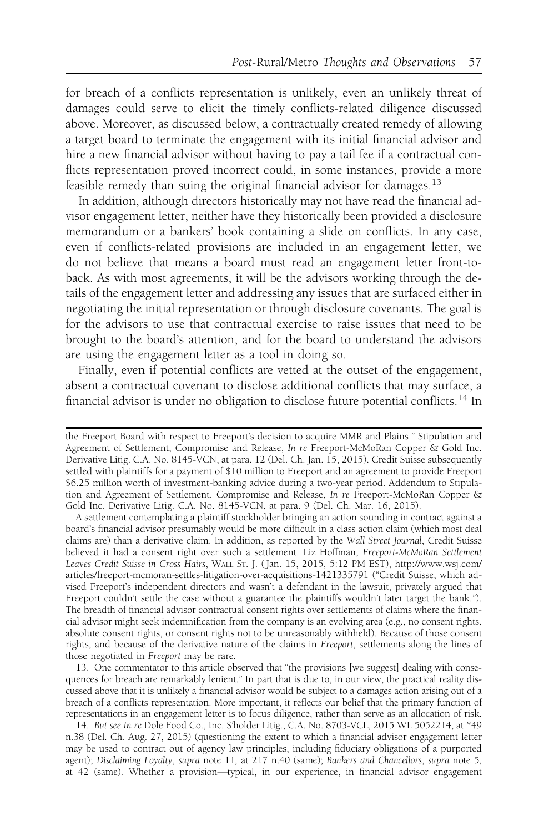for breach of a conflicts representation is unlikely, even an unlikely threat of damages could serve to elicit the timely conflicts-related diligence discussed above. Moreover, as discussed below, a contractually created remedy of allowing a target board to terminate the engagement with its initial financial advisor and hire a new financial advisor without having to pay a tail fee if a contractual conflicts representation proved incorrect could, in some instances, provide a more feasible remedy than suing the original financial advisor for damages.<sup>13</sup>

In addition, although directors historically may not have read the financial advisor engagement letter, neither have they historically been provided a disclosure memorandum or a bankers' book containing a slide on conflicts. In any case, even if conflicts-related provisions are included in an engagement letter, we do not believe that means a board must read an engagement letter front-toback. As with most agreements, it will be the advisors working through the details of the engagement letter and addressing any issues that are surfaced either in negotiating the initial representation or through disclosure covenants. The goal is for the advisors to use that contractual exercise to raise issues that need to be brought to the board's attention, and for the board to understand the advisors are using the engagement letter as a tool in doing so.

Finally, even if potential conflicts are vetted at the outset of the engagement, absent a contractual covenant to disclose additional conflicts that may surface, a financial advisor is under no obligation to disclose future potential conflicts.<sup>14</sup> In

A settlement contemplating a plaintiff stockholder bringing an action sounding in contract against a board's financial advisor presumably would be more difficult in a class action claim (which most deal claims are) than a derivative claim. In addition, as reported by the Wall Street Journal, Credit Suisse believed it had a consent right over such a settlement. Liz Hoffman, Freeport-McMoRan Settlement Leaves Credit Suisse in Cross Hairs, WALL ST. J. ( Jan. 15, 2015, 5:12 PM EST), http://www.wsj.com/ articles/freeport-mcmoran-settles-litigation-over-acquisitions-1421335791 ("Credit Suisse, which advised Freeport's independent directors and wasn't a defendant in the lawsuit, privately argued that Freeport couldn't settle the case without a guarantee the plaintiffs wouldn't later target the bank."). The breadth of financial advisor contractual consent rights over settlements of claims where the financial advisor might seek indemnification from the company is an evolving area (e.g., no consent rights, absolute consent rights, or consent rights not to be unreasonably withheld). Because of those consent rights, and because of the derivative nature of the claims in Freeport, settlements along the lines of those negotiated in Freeport may be rare.

13. One commentator to this article observed that "the provisions [we suggest] dealing with consequences for breach are remarkably lenient." In part that is due to, in our view, the practical reality discussed above that it is unlikely a financial advisor would be subject to a damages action arising out of a breach of a conflicts representation. More important, it reflects our belief that the primary function of representations in an engagement letter is to focus diligence, rather than serve as an allocation of risk.

14. But see In re Dole Food Co., Inc. S'holder Litig., C.A. No. 8703-VCL, 2015 WL 5052214, at \*49 n.38 (Del. Ch. Aug. 27, 2015) (questioning the extent to which a financial advisor engagement letter may be used to contract out of agency law principles, including fiduciary obligations of a purported agent); Disclaiming Loyalty, supra note 11, at 217 n.40 (same); Bankers and Chancellors, supra note 5, at 42 (same). Whether a provision—typical, in our experience, in financial advisor engagement

the Freeport Board with respect to Freeport's decision to acquire MMR and Plains." Stipulation and Agreement of Settlement, Compromise and Release, In re Freeport-McMoRan Copper & Gold Inc. Derivative Litig. C.A. No. 8145-VCN, at para. 12 (Del. Ch. Jan. 15, 2015). Credit Suisse subsequently settled with plaintiffs for a payment of \$10 million to Freeport and an agreement to provide Freeport \$6.25 million worth of investment-banking advice during a two-year period. Addendum to Stipulation and Agreement of Settlement, Compromise and Release, In re Freeport-McMoRan Copper & Gold Inc. Derivative Litig. C.A. No. 8145-VCN, at para. 9 (Del. Ch. Mar. 16, 2015).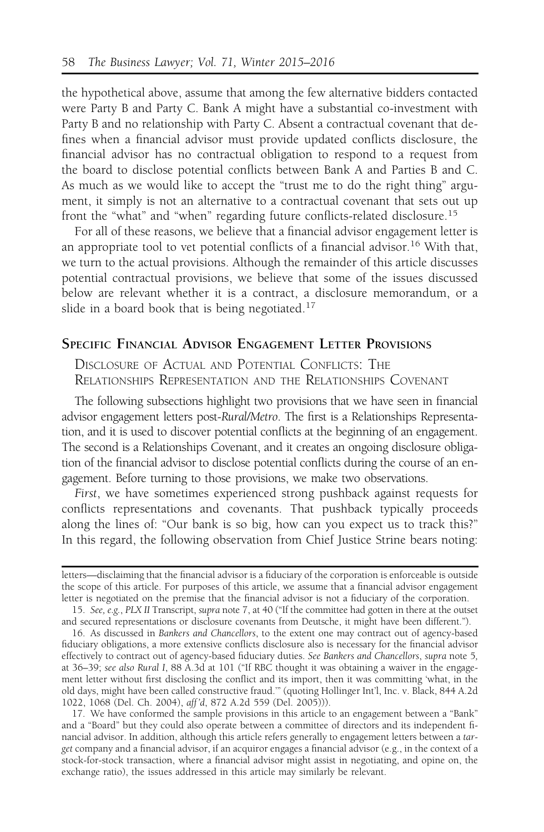the hypothetical above, assume that among the few alternative bidders contacted were Party B and Party C. Bank A might have a substantial co-investment with Party B and no relationship with Party C. Absent a contractual covenant that defines when a financial advisor must provide updated conflicts disclosure, the financial advisor has no contractual obligation to respond to a request from the board to disclose potential conflicts between Bank A and Parties B and C. As much as we would like to accept the "trust me to do the right thing" argument, it simply is not an alternative to a contractual covenant that sets out up front the "what" and "when" regarding future conflicts-related disclosure.<sup>15</sup>

For all of these reasons, we believe that a financial advisor engagement letter is an appropriate tool to vet potential conflicts of a financial advisor.<sup>16</sup> With that, we turn to the actual provisions. Although the remainder of this article discusses potential contractual provisions, we believe that some of the issues discussed below are relevant whether it is a contract, a disclosure memorandum, or a slide in a board book that is being negotiated.<sup>17</sup>

# SPECIFIC FINANCIAL ADVISOR ENGAGEMENT LETTER PROVISIONS

DISCLOSURE OF ACTUAL AND POTENTIAL CONFLICTS: THE RELATIONSHIPS REPRESENTATION AND THE RELATIONSHIPS COVENANT

The following subsections highlight two provisions that we have seen in financial advisor engagement letters post-Rural/Metro. The first is a Relationships Representation, and it is used to discover potential conflicts at the beginning of an engagement. The second is a Relationships Covenant, and it creates an ongoing disclosure obligation of the financial advisor to disclose potential conflicts during the course of an engagement. Before turning to those provisions, we make two observations.

First, we have sometimes experienced strong pushback against requests for conflicts representations and covenants. That pushback typically proceeds along the lines of: "Our bank is so big, how can you expect us to track this?" In this regard, the following observation from Chief Justice Strine bears noting:

17. We have conformed the sample provisions in this article to an engagement between a "Bank" and a "Board" but they could also operate between a committee of directors and its independent financial advisor. In addition, although this article refers generally to engagement letters between a target company and a financial advisor, if an acquiror engages a financial advisor (e.g., in the context of a stock-for-stock transaction, where a financial advisor might assist in negotiating, and opine on, the exchange ratio), the issues addressed in this article may similarly be relevant.

letters—disclaiming that the financial advisor is a fiduciary of the corporation is enforceable is outside the scope of this article. For purposes of this article, we assume that a financial advisor engagement letter is negotiated on the premise that the financial advisor is not a fiduciary of the corporation.

<sup>15.</sup> See, e.g., PLX II Transcript, supra note 7, at 40 ("If the committee had gotten in there at the outset and secured representations or disclosure covenants from Deutsche, it might have been different.").

<sup>16.</sup> As discussed in Bankers and Chancellors, to the extent one may contract out of agency-based fiduciary obligations, a more extensive conflicts disclosure also is necessary for the financial advisor effectively to contract out of agency-based fiduciary duties. See Bankers and Chancellors, supra note 5, at 36–39; see also Rural I, 88 A.3d at 101 ("If RBC thought it was obtaining a waiver in the engagement letter without first disclosing the conflict and its import, then it was committing 'what, in the old days, might have been called constructive fraud.'" (quoting Hollinger Int'l, Inc. v. Black, 844 A.2d 1022, 1068 (Del. Ch. 2004), aff 'd, 872 A.2d 559 (Del. 2005))).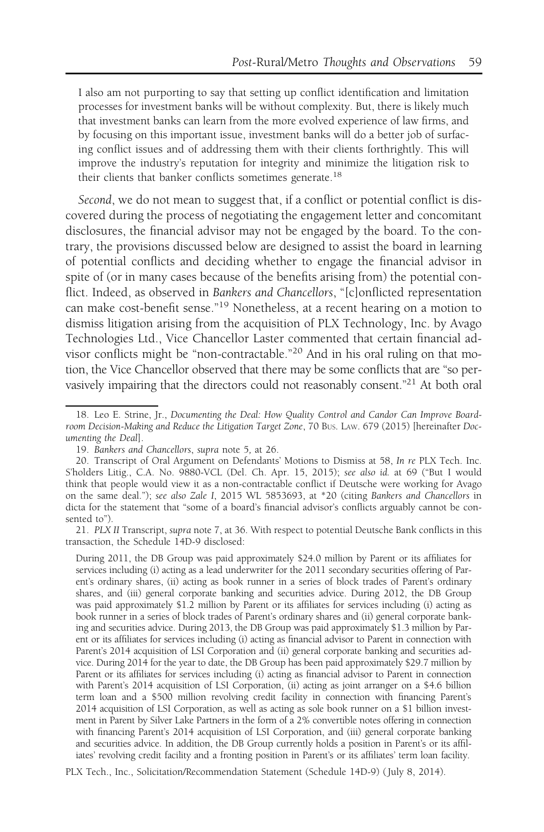I also am not purporting to say that setting up conflict identification and limitation processes for investment banks will be without complexity. But, there is likely much that investment banks can learn from the more evolved experience of law firms, and by focusing on this important issue, investment banks will do a better job of surfacing conflict issues and of addressing them with their clients forthrightly. This will improve the industry's reputation for integrity and minimize the litigation risk to their clients that banker conflicts sometimes generate.<sup>18</sup>

Second, we do not mean to suggest that, if a conflict or potential conflict is discovered during the process of negotiating the engagement letter and concomitant disclosures, the financial advisor may not be engaged by the board. To the contrary, the provisions discussed below are designed to assist the board in learning of potential conflicts and deciding whether to engage the financial advisor in spite of (or in many cases because of the benefits arising from) the potential conflict. Indeed, as observed in Bankers and Chancellors, "[c]onflicted representation can make cost-benefit sense."<sup>19</sup> Nonetheless, at a recent hearing on a motion to dismiss litigation arising from the acquisition of PLX Technology, Inc. by Avago Technologies Ltd., Vice Chancellor Laster commented that certain financial advisor conflicts might be "non-contractable."<sup>20</sup> And in his oral ruling on that motion, the Vice Chancellor observed that there may be some conflicts that are "so pervasively impairing that the directors could not reasonably consent."21 At both oral

<sup>18.</sup> Leo E. Strine, Jr., Documenting the Deal: How Quality Control and Candor Can Improve Boardroom Decision-Making and Reduce the Litigation Target Zone, 70 BUS. LAW. 679 (2015) [hereinafter Documenting the Deal].

<sup>19.</sup> Bankers and Chancellors, supra note 5, at 26.

<sup>20.</sup> Transcript of Oral Argument on Defendants' Motions to Dismiss at 58, In re PLX Tech. Inc. S'holders Litig., C.A. No. 9880-VCL (Del. Ch. Apr. 15, 2015); see also id. at 69 ("But I would think that people would view it as a non-contractable conflict if Deutsche were working for Avago on the same deal."); see also Zale I, 2015 WL 5853693, at \*20 (citing Bankers and Chancellors in dicta for the statement that "some of a board's financial advisor's conflicts arguably cannot be consented to").

<sup>21.</sup> PLX II Transcript, supra note 7, at 36. With respect to potential Deutsche Bank conflicts in this transaction, the Schedule 14D-9 disclosed:

During 2011, the DB Group was paid approximately \$24.0 million by Parent or its affiliates for services including (i) acting as a lead underwriter for the 2011 secondary securities offering of Parent's ordinary shares, (ii) acting as book runner in a series of block trades of Parent's ordinary shares, and (iii) general corporate banking and securities advice. During 2012, the DB Group was paid approximately \$1.2 million by Parent or its affiliates for services including (i) acting as book runner in a series of block trades of Parent's ordinary shares and (ii) general corporate banking and securities advice. During 2013, the DB Group was paid approximately \$1.3 million by Parent or its affiliates for services including (i) acting as financial advisor to Parent in connection with Parent's 2014 acquisition of LSI Corporation and (ii) general corporate banking and securities advice. During 2014 for the year to date, the DB Group has been paid approximately \$29.7 million by Parent or its affiliates for services including (i) acting as financial advisor to Parent in connection with Parent's 2014 acquisition of LSI Corporation, (ii) acting as joint arranger on a \$4.6 billion term loan and a \$500 million revolving credit facility in connection with financing Parent's 2014 acquisition of LSI Corporation, as well as acting as sole book runner on a \$1 billion investment in Parent by Silver Lake Partners in the form of a 2% convertible notes offering in connection with financing Parent's 2014 acquisition of LSI Corporation, and (iii) general corporate banking and securities advice. In addition, the DB Group currently holds a position in Parent's or its affiliates' revolving credit facility and a fronting position in Parent's or its affiliates' term loan facility.

PLX Tech., Inc., Solicitation/Recommendation Statement (Schedule 14D-9) ( July 8, 2014).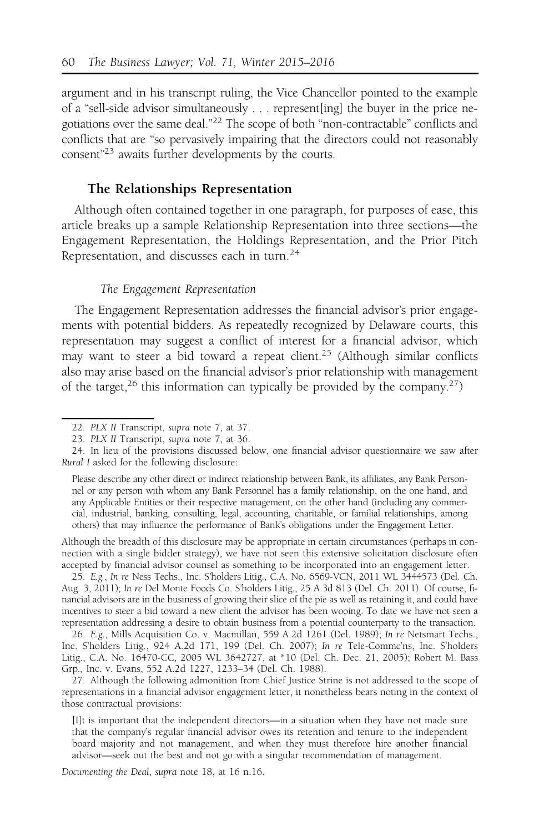argument and in his transcript ruling, the Vice Chancellor pointed to the example of a "sell-side advisor simultaneously . . . represent[ing] the buyer in the price negotiations over the same deal."22 The scope of both "non-contractable" conflicts and conflicts that are "so pervasively impairing that the directors could not reasonably consent"23 awaits further developments by the courts.

### The Relationships Representation

Although often contained together in one paragraph, for purposes of ease, this article breaks up a sample Relationship Representation into three sections—the Engagement Representation, the Holdings Representation, and the Prior Pitch Representation, and discusses each in turn.<sup>24</sup>

#### The Engagement Representation

The Engagement Representation addresses the financial advisor's prior engagements with potential bidders. As repeatedly recognized by Delaware courts, this representation may suggest a conflict of interest for a financial advisor, which may want to steer a bid toward a repeat client.25 (Although similar conflicts also may arise based on the financial advisor's prior relationship with management of the target,<sup>26</sup> this information can typically be provided by the company.<sup>27</sup>)

Although the breadth of this disclosure may be appropriate in certain circumstances (perhaps in connection with a single bidder strategy), we have not seen this extensive solicitation disclosure often accepted by financial advisor counsel as something to be incorporated into an engagement letter.

25. E.g., In re Ness Techs., Inc. S'holders Litig., C.A. No. 6569-VCN, 2011 WL 3444573 (Del. Ch. Aug. 3, 2011); In re Del Monte Foods Co. S'holders Litig., 25 A.3d 813 (Del. Ch. 2011). Of course, financial advisors are in the business of growing their slice of the pie as well as retaining it, and could have incentives to steer a bid toward a new client the advisor has been wooing. To date we have not seen a representation addressing a desire to obtain business from a potential counterparty to the transaction.

26. E.g., Mills Acquisition Co. v. Macmillan, 559 A.2d 1261 (Del. 1989); In re Netsmart Techs., Inc. S'holders Litig., 924 A.2d 171, 199 (Del. Ch. 2007); In re Tele-Commc'ns, Inc. S'holders Litig., C.A. No. 16470-CC, 2005 WL 3642727, at \*10 (Del. Ch. Dec. 21, 2005); Robert M. Bass Grp., Inc. v. Evans, 552 A.2d 1227, 1233–34 (Del. Ch. 1988).

27. Although the following admonition from Chief Justice Strine is not addressed to the scope of representations in a financial advisor engagement letter, it nonetheless bears noting in the context of those contractual provisions:

[I]t is important that the independent directors—in a situation when they have not made sure that the company's regular financial advisor owes its retention and tenure to the independent board majority and not management, and when they must therefore hire another financial advisor—seek out the best and not go with a singular recommendation of management.

Documenting the Deal, supra note 18, at 16 n.16.

<sup>22.</sup> PLX II Transcript, supra note 7, at 37.

<sup>23.</sup> PLX II Transcript, supra note 7, at 36.

<sup>24.</sup> In lieu of the provisions discussed below, one financial advisor questionnaire we saw after Rural I asked for the following disclosure:

Please describe any other direct or indirect relationship between Bank, its affiliates, any Bank Personnel or any person with whom any Bank Personnel has a family relationship, on the one hand, and any Applicable Entities or their respective management, on the other hand (including any commercial, industrial, banking, consulting, legal, accounting, charitable, or familial relationships, among others) that may influence the performance of Bank's obligations under the Engagement Letter.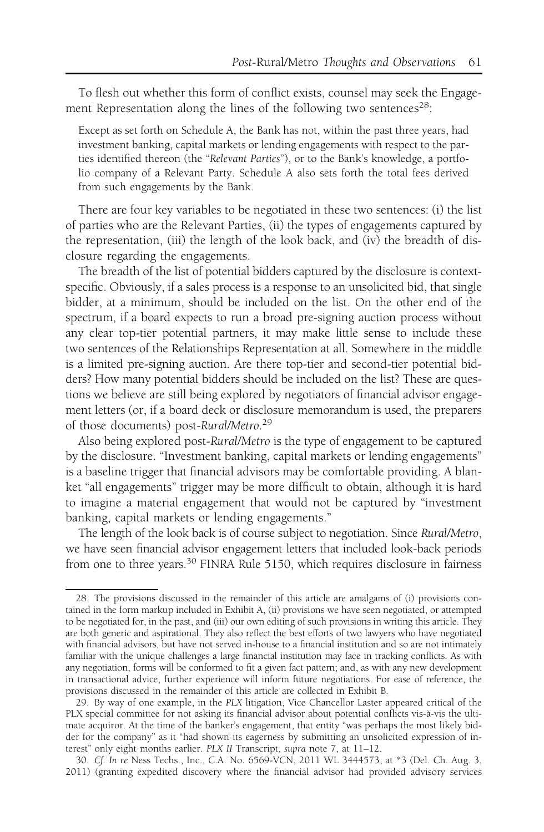To flesh out whether this form of conflict exists, counsel may seek the Engagement Representation along the lines of the following two sentences<sup>28</sup>:

Except as set forth on Schedule A, the Bank has not, within the past three years, had investment banking, capital markets or lending engagements with respect to the parties identified thereon (the "Relevant Parties"), or to the Bank's knowledge, a portfolio company of a Relevant Party. Schedule A also sets forth the total fees derived from such engagements by the Bank.

There are four key variables to be negotiated in these two sentences: (i) the list of parties who are the Relevant Parties, (ii) the types of engagements captured by the representation, (iii) the length of the look back, and (iv) the breadth of disclosure regarding the engagements.

The breadth of the list of potential bidders captured by the disclosure is contextspecific. Obviously, if a sales process is a response to an unsolicited bid, that single bidder, at a minimum, should be included on the list. On the other end of the spectrum, if a board expects to run a broad pre-signing auction process without any clear top-tier potential partners, it may make little sense to include these two sentences of the Relationships Representation at all. Somewhere in the middle is a limited pre-signing auction. Are there top-tier and second-tier potential bidders? How many potential bidders should be included on the list? These are questions we believe are still being explored by negotiators of financial advisor engagement letters (or, if a board deck or disclosure memorandum is used, the preparers of those documents) post-Rural/Metro.<sup>29</sup>

Also being explored post-Rural/Metro is the type of engagement to be captured by the disclosure. "Investment banking, capital markets or lending engagements" is a baseline trigger that financial advisors may be comfortable providing. A blanket "all engagements" trigger may be more difficult to obtain, although it is hard to imagine a material engagement that would not be captured by "investment banking, capital markets or lending engagements."

The length of the look back is of course subject to negotiation. Since Rural/Metro, we have seen financial advisor engagement letters that included look-back periods from one to three years.<sup>30</sup> FINRA Rule 5150, which requires disclosure in fairness

<sup>28.</sup> The provisions discussed in the remainder of this article are amalgams of (i) provisions contained in the form markup included in Exhibit A, (ii) provisions we have seen negotiated, or attempted to be negotiated for, in the past, and (iii) our own editing of such provisions in writing this article. They are both generic and aspirational. They also reflect the best efforts of two lawyers who have negotiated with financial advisors, but have not served in-house to a financial institution and so are not intimately familiar with the unique challenges a large financial institution may face in tracking conflicts. As with any negotiation, forms will be conformed to fit a given fact pattern; and, as with any new development in transactional advice, further experience will inform future negotiations. For ease of reference, the provisions discussed in the remainder of this article are collected in Exhibit B.

<sup>29.</sup> By way of one example, in the PLX litigation, Vice Chancellor Laster appeared critical of the PLX special committee for not asking its financial advisor about potential conflicts vis-à-vis the ultimate acquiror. At the time of the banker's engagement, that entity "was perhaps the most likely bidder for the company" as it "had shown its eagerness by submitting an unsolicited expression of interest" only eight months earlier. PLX II Transcript, supra note 7, at 11–12.

<sup>30.</sup> Cf. In re Ness Techs., Inc., C.A. No. 6569-VCN, 2011 WL 3444573, at \*3 (Del. Ch. Aug. 3, 2011) (granting expedited discovery where the financial advisor had provided advisory services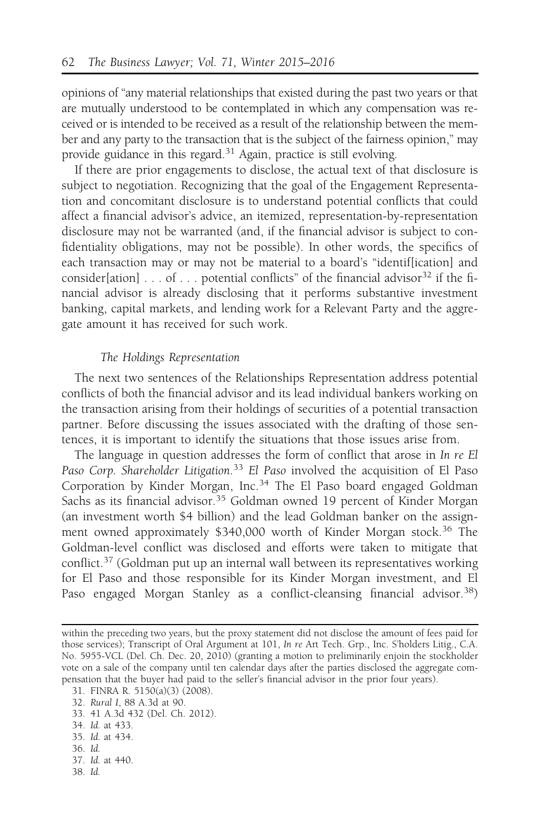opinions of "any material relationships that existed during the past two years or that are mutually understood to be contemplated in which any compensation was received or is intended to be received as a result of the relationship between the member and any party to the transaction that is the subject of the fairness opinion," may provide guidance in this regard.<sup>31</sup> Again, practice is still evolving.

If there are prior engagements to disclose, the actual text of that disclosure is subject to negotiation. Recognizing that the goal of the Engagement Representation and concomitant disclosure is to understand potential conflicts that could affect a financial advisor's advice, an itemized, representation-by-representation disclosure may not be warranted (and, if the financial advisor is subject to confidentiality obligations, may not be possible). In other words, the specifics of each transaction may or may not be material to a board's "identif[ication] and consider[ation] . . . of . . . potential conflicts" of the financial advisor<sup>32</sup> if the financial advisor is already disclosing that it performs substantive investment banking, capital markets, and lending work for a Relevant Party and the aggregate amount it has received for such work.

### The Holdings Representation

The next two sentences of the Relationships Representation address potential conflicts of both the financial advisor and its lead individual bankers working on the transaction arising from their holdings of securities of a potential transaction partner. Before discussing the issues associated with the drafting of those sentences, it is important to identify the situations that those issues arise from.

The language in question addresses the form of conflict that arose in In re El Paso Corp. Shareholder Litigation.<sup>33</sup> El Paso involved the acquisition of El Paso Corporation by Kinder Morgan, Inc.<sup>34</sup> The El Paso board engaged Goldman Sachs as its financial advisor.<sup>35</sup> Goldman owned 19 percent of Kinder Morgan (an investment worth \$4 billion) and the lead Goldman banker on the assignment owned approximately \$340,000 worth of Kinder Morgan stock.<sup>36</sup> The Goldman-level conflict was disclosed and efforts were taken to mitigate that conflict.<sup>37</sup> (Goldman put up an internal wall between its representatives working for El Paso and those responsible for its Kinder Morgan investment, and El Paso engaged Morgan Stanley as a conflict-cleansing financial advisor.<sup>38</sup>)

- 33. 41 A.3d 432 (Del. Ch. 2012).
- 34. Id. at 433.
- 35. Id. at 434.
- 36. Id.
- 37. Id. at 440.
- 38. Id.

within the preceding two years, but the proxy statement did not disclose the amount of fees paid for those services); Transcript of Oral Argument at 101, In re Art Tech. Grp., Inc. S'holders Litig., C.A. No. 5955-VCL (Del. Ch. Dec. 20, 2010) (granting a motion to preliminarily enjoin the stockholder vote on a sale of the company until ten calendar days after the parties disclosed the aggregate compensation that the buyer had paid to the seller's financial advisor in the prior four years).

<sup>31.</sup> FINRA R. 5150(a)(3) (2008).

<sup>32.</sup> Rural I, 88 A.3d at 90.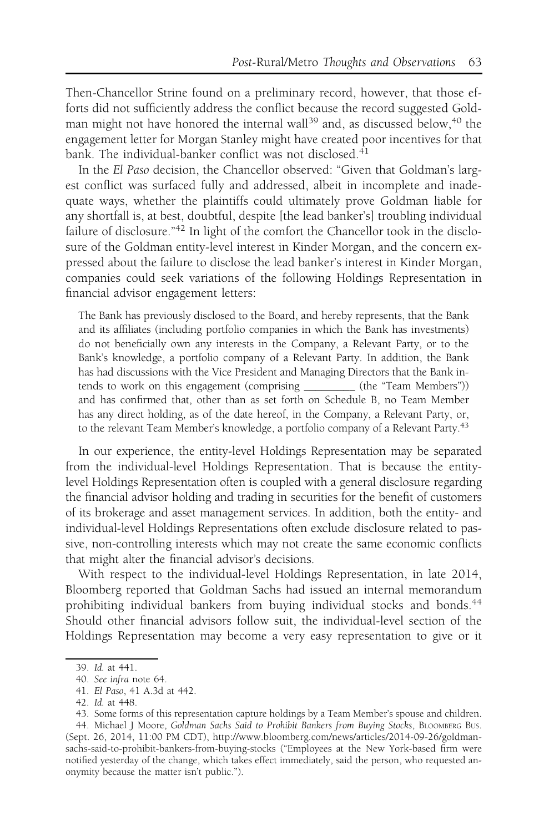Then-Chancellor Strine found on a preliminary record, however, that those efforts did not sufficiently address the conflict because the record suggested Goldman might not have honored the internal wall<sup>39</sup> and, as discussed below,<sup>40</sup> the engagement letter for Morgan Stanley might have created poor incentives for that bank. The individual-banker conflict was not disclosed.<sup>41</sup>

In the El Paso decision, the Chancellor observed: "Given that Goldman's largest conflict was surfaced fully and addressed, albeit in incomplete and inadequate ways, whether the plaintiffs could ultimately prove Goldman liable for any shortfall is, at best, doubtful, despite [the lead banker's] troubling individual failure of disclosure."<sup>42</sup> In light of the comfort the Chancellor took in the disclosure of the Goldman entity-level interest in Kinder Morgan, and the concern expressed about the failure to disclose the lead banker's interest in Kinder Morgan, companies could seek variations of the following Holdings Representation in financial advisor engagement letters:

The Bank has previously disclosed to the Board, and hereby represents, that the Bank and its affiliates (including portfolio companies in which the Bank has investments) do not beneficially own any interests in the Company, a Relevant Party, or to the Bank's knowledge, a portfolio company of a Relevant Party. In addition, the Bank has had discussions with the Vice President and Managing Directors that the Bank intends to work on this engagement (comprising \_\_\_\_\_\_\_\_\_ (the "Team Members")) and has confirmed that, other than as set forth on Schedule B, no Team Member has any direct holding, as of the date hereof, in the Company, a Relevant Party, or, to the relevant Team Member's knowledge, a portfolio company of a Relevant Party.<sup>43</sup>

In our experience, the entity-level Holdings Representation may be separated from the individual-level Holdings Representation. That is because the entitylevel Holdings Representation often is coupled with a general disclosure regarding the financial advisor holding and trading in securities for the benefit of customers of its brokerage and asset management services. In addition, both the entity- and individual-level Holdings Representations often exclude disclosure related to passive, non-controlling interests which may not create the same economic conflicts that might alter the financial advisor's decisions.

With respect to the individual-level Holdings Representation, in late 2014, Bloomberg reported that Goldman Sachs had issued an internal memorandum prohibiting individual bankers from buying individual stocks and bonds.<sup>44</sup> Should other financial advisors follow suit, the individual-level section of the Holdings Representation may become a very easy representation to give or it

<sup>39.</sup> Id. at 441.

<sup>40.</sup> See infra note 64.

<sup>41.</sup> El Paso, 41 A.3d at 442.

<sup>42.</sup> Id. at 448.

<sup>43.</sup> Some forms of this representation capture holdings by a Team Member's spouse and children.

<sup>44.</sup> Michael J Moore, Goldman Sachs Said to Prohibit Bankers from Buying Stocks, BLOOMBERG BUS. (Sept. 26, 2014, 11:00 PM CDT), http://www.bloomberg.com/news/articles/2014-09-26/goldmansachs-said-to-prohibit-bankers-from-buying-stocks ("Employees at the New York-based firm were notified yesterday of the change, which takes effect immediately, said the person, who requested anonymity because the matter isn't public.").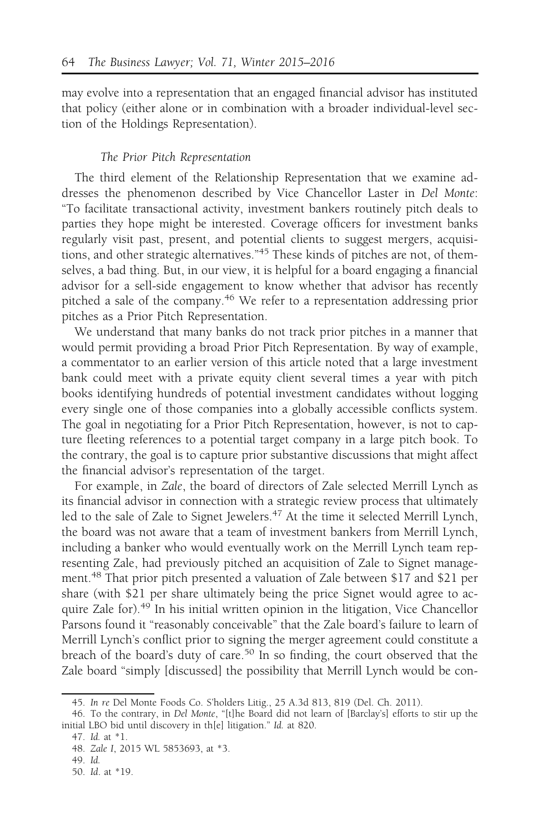may evolve into a representation that an engaged financial advisor has instituted that policy (either alone or in combination with a broader individual-level section of the Holdings Representation).

### The Prior Pitch Representation

The third element of the Relationship Representation that we examine addresses the phenomenon described by Vice Chancellor Laster in Del Monte: "To facilitate transactional activity, investment bankers routinely pitch deals to parties they hope might be interested. Coverage officers for investment banks regularly visit past, present, and potential clients to suggest mergers, acquisitions, and other strategic alternatives."<sup>45</sup> These kinds of pitches are not, of themselves, a bad thing. But, in our view, it is helpful for a board engaging a financial advisor for a sell-side engagement to know whether that advisor has recently pitched a sale of the company.<sup>46</sup> We refer to a representation addressing prior pitches as a Prior Pitch Representation.

We understand that many banks do not track prior pitches in a manner that would permit providing a broad Prior Pitch Representation. By way of example, a commentator to an earlier version of this article noted that a large investment bank could meet with a private equity client several times a year with pitch books identifying hundreds of potential investment candidates without logging every single one of those companies into a globally accessible conflicts system. The goal in negotiating for a Prior Pitch Representation, however, is not to capture fleeting references to a potential target company in a large pitch book. To the contrary, the goal is to capture prior substantive discussions that might affect the financial advisor's representation of the target.

For example, in Zale, the board of directors of Zale selected Merrill Lynch as its financial advisor in connection with a strategic review process that ultimately led to the sale of Zale to Signet Jewelers.<sup>47</sup> At the time it selected Merrill Lynch, the board was not aware that a team of investment bankers from Merrill Lynch, including a banker who would eventually work on the Merrill Lynch team representing Zale, had previously pitched an acquisition of Zale to Signet management.<sup>48</sup> That prior pitch presented a valuation of Zale between \$17 and \$21 per share (with \$21 per share ultimately being the price Signet would agree to acquire Zale for).<sup>49</sup> In his initial written opinion in the litigation, Vice Chancellor Parsons found it "reasonably conceivable" that the Zale board's failure to learn of Merrill Lynch's conflict prior to signing the merger agreement could constitute a breach of the board's duty of care.50 In so finding, the court observed that the Zale board "simply [discussed] the possibility that Merrill Lynch would be con-

<sup>45.</sup> In re Del Monte Foods Co. S'holders Litig., 25 A.3d 813, 819 (Del. Ch. 2011).

<sup>46.</sup> To the contrary, in Del Monte, "[t]he Board did not learn of [Barclay's] efforts to stir up the initial LBO bid until discovery in th[e] litigation." Id. at 820.

<sup>47.</sup> Id. at \*1.

<sup>48.</sup> Zale I, 2015 WL 5853693, at \*3.

<sup>49.</sup> Id.

<sup>50.</sup> Id. at \*19.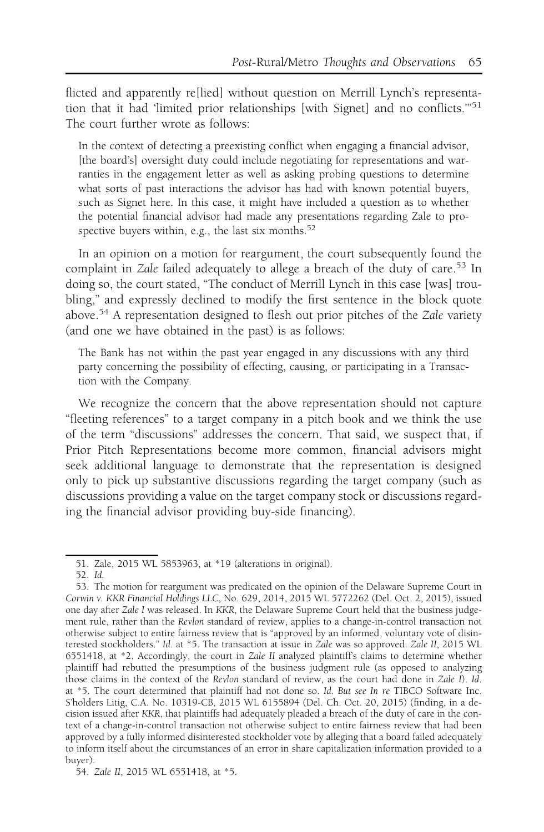flicted and apparently re[lied] without question on Merrill Lynch's representation that it had 'limited prior relationships [with Signet] and no conflicts.'"<sup>51</sup> The court further wrote as follows:

In the context of detecting a preexisting conflict when engaging a financial advisor, [the board's] oversight duty could include negotiating for representations and warranties in the engagement letter as well as asking probing questions to determine what sorts of past interactions the advisor has had with known potential buyers, such as Signet here. In this case, it might have included a question as to whether the potential financial advisor had made any presentations regarding Zale to prospective buyers within, e.g., the last six months. $52$ 

In an opinion on a motion for reargument, the court subsequently found the complaint in Zale failed adequately to allege a breach of the duty of care.<sup>53</sup> In doing so, the court stated, "The conduct of Merrill Lynch in this case [was] troubling," and expressly declined to modify the first sentence in the block quote above.<sup>54</sup> A representation designed to flesh out prior pitches of the *Zale* variety (and one we have obtained in the past) is as follows:

The Bank has not within the past year engaged in any discussions with any third party concerning the possibility of effecting, causing, or participating in a Transaction with the Company.

We recognize the concern that the above representation should not capture "fleeting references" to a target company in a pitch book and we think the use of the term "discussions" addresses the concern. That said, we suspect that, if Prior Pitch Representations become more common, financial advisors might seek additional language to demonstrate that the representation is designed only to pick up substantive discussions regarding the target company (such as discussions providing a value on the target company stock or discussions regarding the financial advisor providing buy-side financing).

<sup>51.</sup> Zale, 2015 WL 5853963, at \*19 (alterations in original).

<sup>52.</sup> Id.

<sup>53.</sup> The motion for reargument was predicated on the opinion of the Delaware Supreme Court in Corwin v. KKR Financial Holdings LLC, No. 629, 2014, 2015 WL 5772262 (Del. Oct. 2, 2015), issued one day after Zale I was released. In KKR, the Delaware Supreme Court held that the business judgement rule, rather than the Revlon standard of review, applies to a change-in-control transaction not otherwise subject to entire fairness review that is "approved by an informed, voluntary vote of disinterested stockholders." Id. at \*5. The transaction at issue in Zale was so approved. Zale II, 2015 WL 6551418, at \*2. Accordingly, the court in Zale II analyzed plaintiff's claims to determine whether plaintiff had rebutted the presumptions of the business judgment rule (as opposed to analyzing those claims in the context of the Revlon standard of review, as the court had done in Zale I). Id. at \*5. The court determined that plaintiff had not done so. Id. But see In re TIBCO Software Inc. S'holders Litig, C.A. No. 10319-CB, 2015 WL 6155894 (Del. Ch. Oct. 20, 2015) (finding, in a decision issued after KKR, that plaintiffs had adequately pleaded a breach of the duty of care in the context of a change-in-control transaction not otherwise subject to entire fairness review that had been approved by a fully informed disinterested stockholder vote by alleging that a board failed adequately to inform itself about the circumstances of an error in share capitalization information provided to a buyer).

<sup>54.</sup> Zale II, 2015 WL 6551418, at \*5.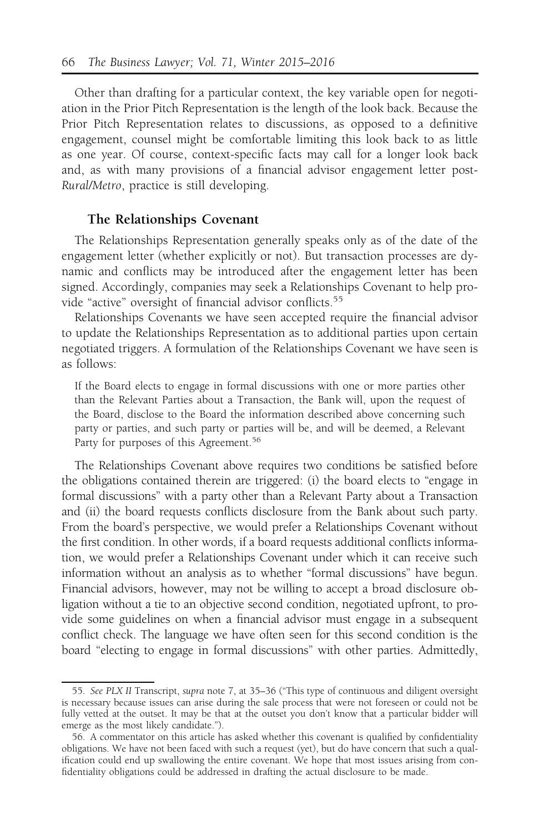Other than drafting for a particular context, the key variable open for negotiation in the Prior Pitch Representation is the length of the look back. Because the Prior Pitch Representation relates to discussions, as opposed to a definitive engagement, counsel might be comfortable limiting this look back to as little as one year. Of course, context-specific facts may call for a longer look back and, as with many provisions of a financial advisor engagement letter post-Rural/Metro, practice is still developing.

### The Relationships Covenant

The Relationships Representation generally speaks only as of the date of the engagement letter (whether explicitly or not). But transaction processes are dynamic and conflicts may be introduced after the engagement letter has been signed. Accordingly, companies may seek a Relationships Covenant to help provide "active" oversight of financial advisor conflicts.<sup>55</sup>

Relationships Covenants we have seen accepted require the financial advisor to update the Relationships Representation as to additional parties upon certain negotiated triggers. A formulation of the Relationships Covenant we have seen is as follows:

If the Board elects to engage in formal discussions with one or more parties other than the Relevant Parties about a Transaction, the Bank will, upon the request of the Board, disclose to the Board the information described above concerning such party or parties, and such party or parties will be, and will be deemed, a Relevant Party for purposes of this Agreement.<sup>56</sup>

The Relationships Covenant above requires two conditions be satisfied before the obligations contained therein are triggered: (i) the board elects to "engage in formal discussions" with a party other than a Relevant Party about a Transaction and (ii) the board requests conflicts disclosure from the Bank about such party. From the board's perspective, we would prefer a Relationships Covenant without the first condition. In other words, if a board requests additional conflicts information, we would prefer a Relationships Covenant under which it can receive such information without an analysis as to whether "formal discussions" have begun. Financial advisors, however, may not be willing to accept a broad disclosure obligation without a tie to an objective second condition, negotiated upfront, to provide some guidelines on when a financial advisor must engage in a subsequent conflict check. The language we have often seen for this second condition is the board "electing to engage in formal discussions" with other parties. Admittedly,

<sup>55.</sup> See PLX II Transcript, supra note 7, at 35–36 ("This type of continuous and diligent oversight is necessary because issues can arise during the sale process that were not foreseen or could not be fully vetted at the outset. It may be that at the outset you don't know that a particular bidder will emerge as the most likely candidate.").

<sup>56.</sup> A commentator on this article has asked whether this covenant is qualified by confidentiality obligations. We have not been faced with such a request (yet), but do have concern that such a qualification could end up swallowing the entire covenant. We hope that most issues arising from confidentiality obligations could be addressed in drafting the actual disclosure to be made.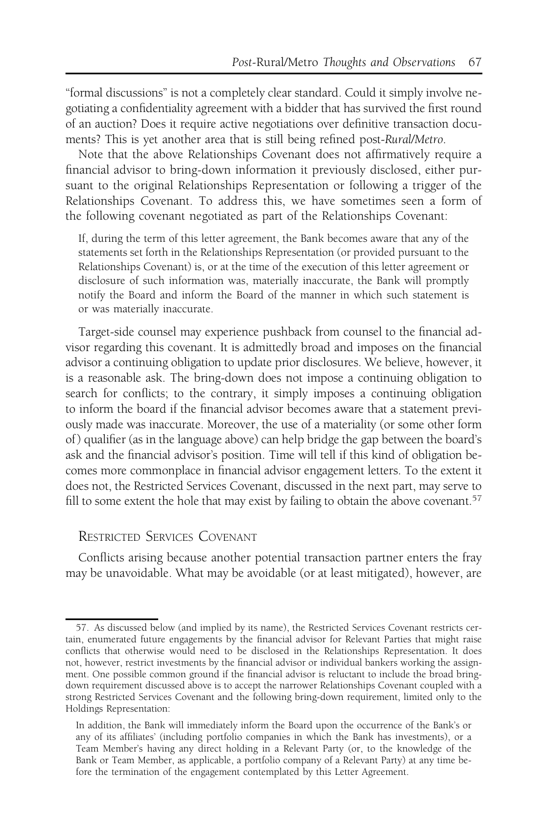"formal discussions" is not a completely clear standard. Could it simply involve negotiating a confidentiality agreement with a bidder that has survived the first round of an auction? Does it require active negotiations over definitive transaction documents? This is yet another area that is still being refined post-Rural/Metro.

Note that the above Relationships Covenant does not affirmatively require a financial advisor to bring-down information it previously disclosed, either pursuant to the original Relationships Representation or following a trigger of the Relationships Covenant. To address this, we have sometimes seen a form of the following covenant negotiated as part of the Relationships Covenant:

If, during the term of this letter agreement, the Bank becomes aware that any of the statements set forth in the Relationships Representation (or provided pursuant to the Relationships Covenant) is, or at the time of the execution of this letter agreement or disclosure of such information was, materially inaccurate, the Bank will promptly notify the Board and inform the Board of the manner in which such statement is or was materially inaccurate.

Target-side counsel may experience pushback from counsel to the financial advisor regarding this covenant. It is admittedly broad and imposes on the financial advisor a continuing obligation to update prior disclosures. We believe, however, it is a reasonable ask. The bring-down does not impose a continuing obligation to search for conflicts; to the contrary, it simply imposes a continuing obligation to inform the board if the financial advisor becomes aware that a statement previously made was inaccurate. Moreover, the use of a materiality (or some other form of ) qualifier (as in the language above) can help bridge the gap between the board's ask and the financial advisor's position. Time will tell if this kind of obligation becomes more commonplace in financial advisor engagement letters. To the extent it does not, the Restricted Services Covenant, discussed in the next part, may serve to fill to some extent the hole that may exist by failing to obtain the above covenant.<sup>57</sup>

# RESTRICTED SERVICES COVENANT

Conflicts arising because another potential transaction partner enters the fray may be unavoidable. What may be avoidable (or at least mitigated), however, are

<sup>57.</sup> As discussed below (and implied by its name), the Restricted Services Covenant restricts certain, enumerated future engagements by the financial advisor for Relevant Parties that might raise conflicts that otherwise would need to be disclosed in the Relationships Representation. It does not, however, restrict investments by the financial advisor or individual bankers working the assignment. One possible common ground if the financial advisor is reluctant to include the broad bringdown requirement discussed above is to accept the narrower Relationships Covenant coupled with a strong Restricted Services Covenant and the following bring-down requirement, limited only to the Holdings Representation:

In addition, the Bank will immediately inform the Board upon the occurrence of the Bank's or any of its affiliates' (including portfolio companies in which the Bank has investments), or a Team Member's having any direct holding in a Relevant Party (or, to the knowledge of the Bank or Team Member, as applicable, a portfolio company of a Relevant Party) at any time before the termination of the engagement contemplated by this Letter Agreement.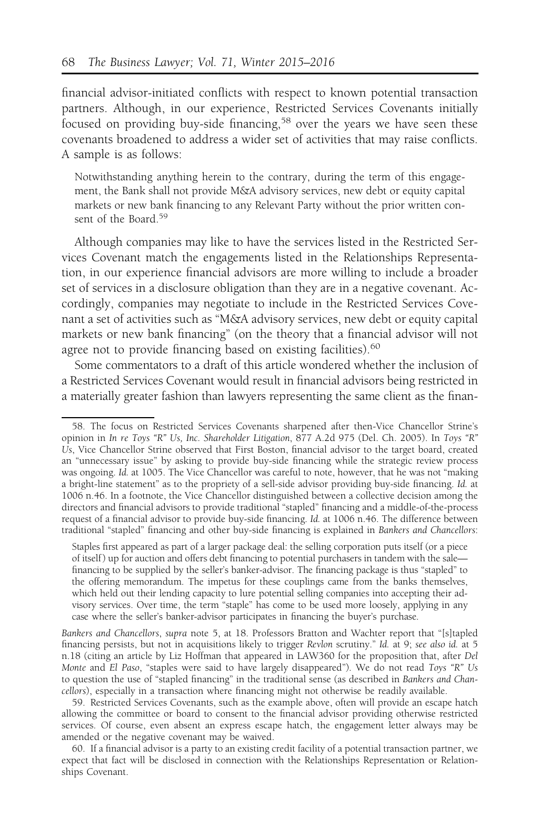financial advisor-initiated conflicts with respect to known potential transaction partners. Although, in our experience, Restricted Services Covenants initially focused on providing buy-side financing,<sup>58</sup> over the years we have seen these covenants broadened to address a wider set of activities that may raise conflicts. A sample is as follows:

Notwithstanding anything herein to the contrary, during the term of this engagement, the Bank shall not provide M&A advisory services, new debt or equity capital markets or new bank financing to any Relevant Party without the prior written consent of the Board.<sup>59</sup>

Although companies may like to have the services listed in the Restricted Services Covenant match the engagements listed in the Relationships Representation, in our experience financial advisors are more willing to include a broader set of services in a disclosure obligation than they are in a negative covenant. Accordingly, companies may negotiate to include in the Restricted Services Covenant a set of activities such as "M&A advisory services, new debt or equity capital markets or new bank financing" (on the theory that a financial advisor will not agree not to provide financing based on existing facilities).<sup>60</sup>

Some commentators to a draft of this article wondered whether the inclusion of a Restricted Services Covenant would result in financial advisors being restricted in a materially greater fashion than lawyers representing the same client as the finan-

<sup>58.</sup> The focus on Restricted Services Covenants sharpened after then-Vice Chancellor Strine's opinion in In re Toys "R" Us, Inc. Shareholder Litigation, 877 A.2d 975 (Del. Ch. 2005). In Toys "R" Us, Vice Chancellor Strine observed that First Boston, financial advisor to the target board, created an "unnecessary issue" by asking to provide buy-side financing while the strategic review process was ongoing. Id. at 1005. The Vice Chancellor was careful to note, however, that he was not "making a bright-line statement" as to the propriety of a sell-side advisor providing buy-side financing. Id. at 1006 n.46. In a footnote, the Vice Chancellor distinguished between a collective decision among the directors and financial advisors to provide traditional "stapled" financing and a middle-of-the-process request of a financial advisor to provide buy-side financing. Id. at 1006 n.46. The difference between traditional "stapled" financing and other buy-side financing is explained in Bankers and Chancellors:

Staples first appeared as part of a larger package deal: the selling corporation puts itself (or a piece of itself ) up for auction and offers debt financing to potential purchasers in tandem with the sale financing to be supplied by the seller's banker-advisor. The financing package is thus "stapled" to the offering memorandum. The impetus for these couplings came from the banks themselves, which held out their lending capacity to lure potential selling companies into accepting their advisory services. Over time, the term "staple" has come to be used more loosely, applying in any case where the seller's banker-advisor participates in financing the buyer's purchase.

Bankers and Chancellors, supra note 5, at 18. Professors Bratton and Wachter report that "[s]tapled financing persists, but not in acquisitions likely to trigger Revlon scrutiny." Id. at 9; see also id. at 5 n.18 (citing an article by Liz Hoffman that appeared in LAW360 for the proposition that, after Del Monte and El Paso, "staples were said to have largely disappeared"). We do not read Toys "R" Us to question the use of "stapled financing" in the traditional sense (as described in Bankers and Chancellors), especially in a transaction where financing might not otherwise be readily available.

<sup>59.</sup> Restricted Services Covenants, such as the example above, often will provide an escape hatch allowing the committee or board to consent to the financial advisor providing otherwise restricted services. Of course, even absent an express escape hatch, the engagement letter always may be amended or the negative covenant may be waived.

<sup>60.</sup> If a financial advisor is a party to an existing credit facility of a potential transaction partner, we expect that fact will be disclosed in connection with the Relationships Representation or Relationships Covenant.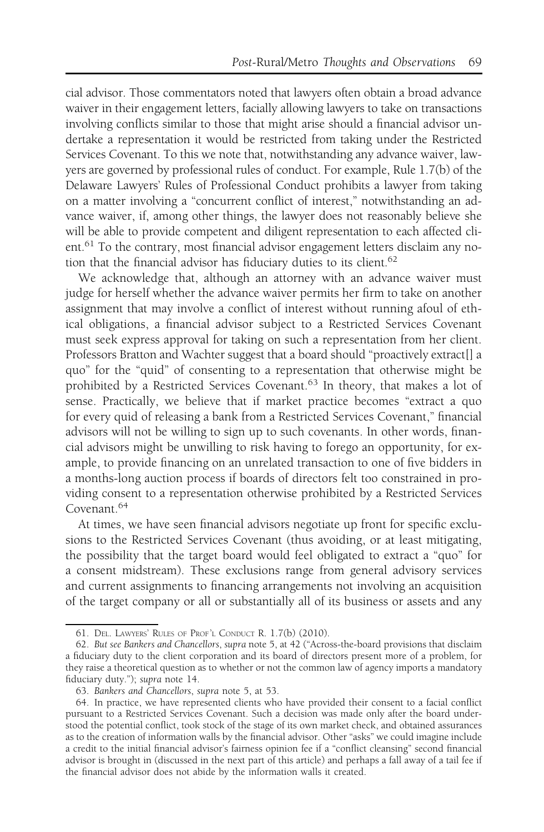cial advisor. Those commentators noted that lawyers often obtain a broad advance waiver in their engagement letters, facially allowing lawyers to take on transactions involving conflicts similar to those that might arise should a financial advisor undertake a representation it would be restricted from taking under the Restricted Services Covenant. To this we note that, notwithstanding any advance waiver, lawyers are governed by professional rules of conduct. For example, Rule 1.7(b) of the Delaware Lawyers' Rules of Professional Conduct prohibits a lawyer from taking on a matter involving a "concurrent conflict of interest," notwithstanding an advance waiver, if, among other things, the lawyer does not reasonably believe she will be able to provide competent and diligent representation to each affected cli $ent.<sup>61</sup>$  To the contrary, most financial advisor engagement letters disclaim any notion that the financial advisor has fiduciary duties to its client.<sup>62</sup>

We acknowledge that, although an attorney with an advance waiver must judge for herself whether the advance waiver permits her firm to take on another assignment that may involve a conflict of interest without running afoul of ethical obligations, a financial advisor subject to a Restricted Services Covenant must seek express approval for taking on such a representation from her client. Professors Bratton and Wachter suggest that a board should "proactively extract[] a quo" for the "quid" of consenting to a representation that otherwise might be prohibited by a Restricted Services Covenant.<sup>63</sup> In theory, that makes a lot of sense. Practically, we believe that if market practice becomes "extract a quo for every quid of releasing a bank from a Restricted Services Covenant," financial advisors will not be willing to sign up to such covenants. In other words, financial advisors might be unwilling to risk having to forego an opportunity, for example, to provide financing on an unrelated transaction to one of five bidders in a months-long auction process if boards of directors felt too constrained in providing consent to a representation otherwise prohibited by a Restricted Services Covenant.<sup>64</sup>

At times, we have seen financial advisors negotiate up front for specific exclusions to the Restricted Services Covenant (thus avoiding, or at least mitigating, the possibility that the target board would feel obligated to extract a "quo" for a consent midstream). These exclusions range from general advisory services and current assignments to financing arrangements not involving an acquisition of the target company or all or substantially all of its business or assets and any

<sup>61.</sup> DEL. LAWYERS' RULES OF PROF'L CONDUCT R. 1.7(b) (2010).

<sup>62.</sup> But see Bankers and Chancellors, supra note 5, at 42 ("Across-the-board provisions that disclaim a fiduciary duty to the client corporation and its board of directors present more of a problem, for they raise a theoretical question as to whether or not the common law of agency imports a mandatory fiduciary duty."); supra note 14.

<sup>63.</sup> Bankers and Chancellors, supra note 5, at 53.

<sup>64.</sup> In practice, we have represented clients who have provided their consent to a facial conflict pursuant to a Restricted Services Covenant. Such a decision was made only after the board understood the potential conflict, took stock of the stage of its own market check, and obtained assurances as to the creation of information walls by the financial advisor. Other "asks" we could imagine include a credit to the initial financial advisor's fairness opinion fee if a "conflict cleansing" second financial advisor is brought in (discussed in the next part of this article) and perhaps a fall away of a tail fee if the financial advisor does not abide by the information walls it created.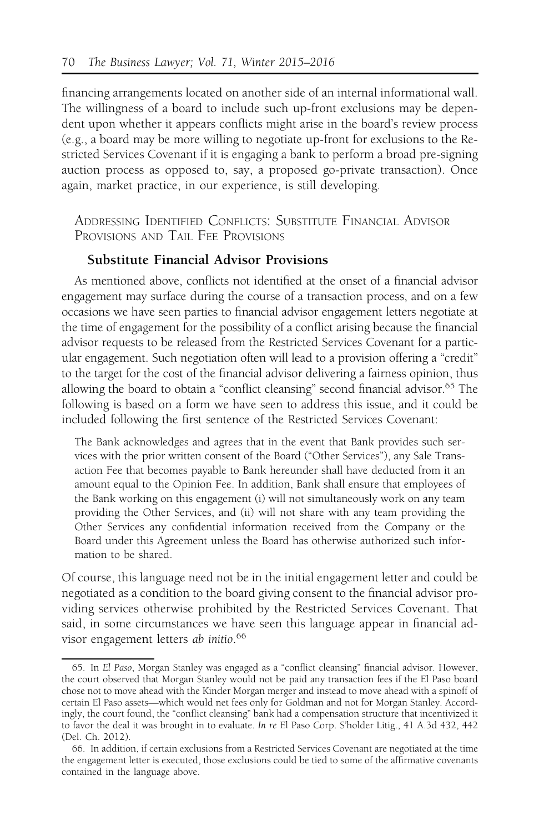financing arrangements located on another side of an internal informational wall. The willingness of a board to include such up-front exclusions may be dependent upon whether it appears conflicts might arise in the board's review process (e.g., a board may be more willing to negotiate up-front for exclusions to the Restricted Services Covenant if it is engaging a bank to perform a broad pre-signing auction process as opposed to, say, a proposed go-private transaction). Once again, market practice, in our experience, is still developing.

ADDRESSING IDENTIFIED CONFLICTS: SUBSTITUTE FINANCIAL ADVISOR PROVISIONS AND TAIL FFF PROVISIONS

# Substitute Financial Advisor Provisions

As mentioned above, conflicts not identified at the onset of a financial advisor engagement may surface during the course of a transaction process, and on a few occasions we have seen parties to financial advisor engagement letters negotiate at the time of engagement for the possibility of a conflict arising because the financial advisor requests to be released from the Restricted Services Covenant for a particular engagement. Such negotiation often will lead to a provision offering a "credit" to the target for the cost of the financial advisor delivering a fairness opinion, thus allowing the board to obtain a "conflict cleansing" second financial advisor.<sup>65</sup> The following is based on a form we have seen to address this issue, and it could be included following the first sentence of the Restricted Services Covenant:

The Bank acknowledges and agrees that in the event that Bank provides such services with the prior written consent of the Board ("Other Services"), any Sale Transaction Fee that becomes payable to Bank hereunder shall have deducted from it an amount equal to the Opinion Fee. In addition, Bank shall ensure that employees of the Bank working on this engagement (i) will not simultaneously work on any team providing the Other Services, and (ii) will not share with any team providing the Other Services any confidential information received from the Company or the Board under this Agreement unless the Board has otherwise authorized such information to be shared.

Of course, this language need not be in the initial engagement letter and could be negotiated as a condition to the board giving consent to the financial advisor providing services otherwise prohibited by the Restricted Services Covenant. That said, in some circumstances we have seen this language appear in financial advisor engagement letters ab initio. 66

<sup>65.</sup> In El Paso, Morgan Stanley was engaged as a "conflict cleansing" financial advisor. However, the court observed that Morgan Stanley would not be paid any transaction fees if the El Paso board chose not to move ahead with the Kinder Morgan merger and instead to move ahead with a spinoff of certain El Paso assets—which would net fees only for Goldman and not for Morgan Stanley. Accordingly, the court found, the "conflict cleansing" bank had a compensation structure that incentivized it to favor the deal it was brought in to evaluate. In re El Paso Corp. S'holder Litig., 41 A.3d 432, 442 (Del. Ch. 2012).

<sup>66.</sup> In addition, if certain exclusions from a Restricted Services Covenant are negotiated at the time the engagement letter is executed, those exclusions could be tied to some of the affirmative covenants contained in the language above.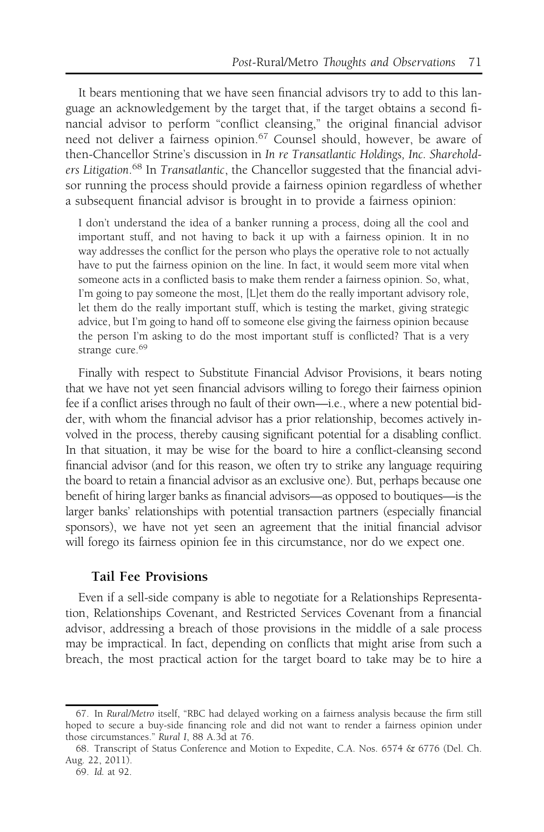It bears mentioning that we have seen financial advisors try to add to this language an acknowledgement by the target that, if the target obtains a second financial advisor to perform "conflict cleansing," the original financial advisor need not deliver a fairness opinion.<sup>67</sup> Counsel should, however, be aware of then-Chancellor Strine's discussion in In re Transatlantic Holdings, Inc. Shareholders Litigation.<sup>68</sup> In Transatlantic, the Chancellor suggested that the financial advisor running the process should provide a fairness opinion regardless of whether a subsequent financial advisor is brought in to provide a fairness opinion:

I don't understand the idea of a banker running a process, doing all the cool and important stuff, and not having to back it up with a fairness opinion. It in no way addresses the conflict for the person who plays the operative role to not actually have to put the fairness opinion on the line. In fact, it would seem more vital when someone acts in a conflicted basis to make them render a fairness opinion. So, what, I'm going to pay someone the most, [L]et them do the really important advisory role, let them do the really important stuff, which is testing the market, giving strategic advice, but I'm going to hand off to someone else giving the fairness opinion because the person I'm asking to do the most important stuff is conflicted? That is a very strange cure.<sup>69</sup>

Finally with respect to Substitute Financial Advisor Provisions, it bears noting that we have not yet seen financial advisors willing to forego their fairness opinion fee if a conflict arises through no fault of their own—i.e., where a new potential bidder, with whom the financial advisor has a prior relationship, becomes actively involved in the process, thereby causing significant potential for a disabling conflict. In that situation, it may be wise for the board to hire a conflict-cleansing second financial advisor (and for this reason, we often try to strike any language requiring the board to retain a financial advisor as an exclusive one). But, perhaps because one benefit of hiring larger banks as financial advisors—as opposed to boutiques—is the larger banks' relationships with potential transaction partners (especially financial sponsors), we have not yet seen an agreement that the initial financial advisor will forego its fairness opinion fee in this circumstance, nor do we expect one.

### Tail Fee Provisions

Even if a sell-side company is able to negotiate for a Relationships Representation, Relationships Covenant, and Restricted Services Covenant from a financial advisor, addressing a breach of those provisions in the middle of a sale process may be impractical. In fact, depending on conflicts that might arise from such a breach, the most practical action for the target board to take may be to hire a

<sup>67.</sup> In Rural/Metro itself, "RBC had delayed working on a fairness analysis because the firm still hoped to secure a buy-side financing role and did not want to render a fairness opinion under those circumstances." Rural I, 88 A.3d at 76.

<sup>68.</sup> Transcript of Status Conference and Motion to Expedite, C.A. Nos. 6574 & 6776 (Del. Ch. Aug. 22, 2011).

<sup>69.</sup> Id. at 92.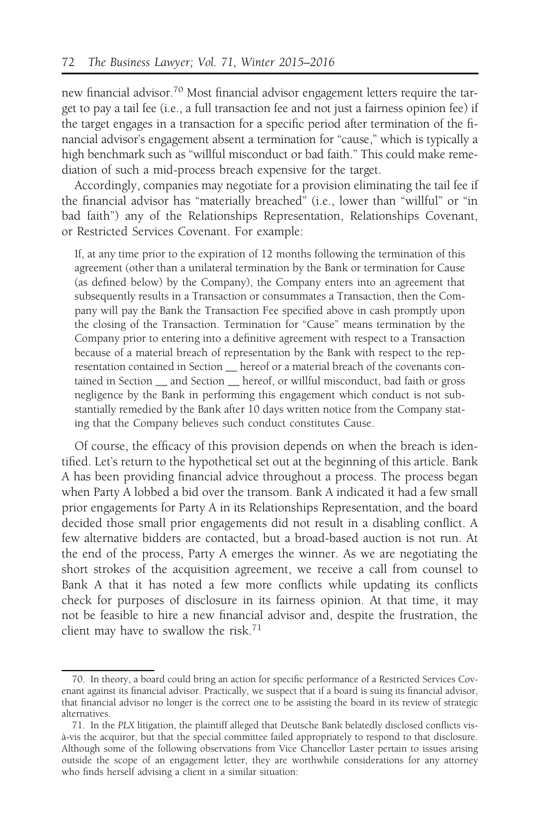new financial advisor.70 Most financial advisor engagement letters require the target to pay a tail fee (i.e., a full transaction fee and not just a fairness opinion fee) if the target engages in a transaction for a specific period after termination of the financial advisor's engagement absent a termination for "cause," which is typically a high benchmark such as "willful misconduct or bad faith." This could make remediation of such a mid-process breach expensive for the target.

Accordingly, companies may negotiate for a provision eliminating the tail fee if the financial advisor has "materially breached" (i.e., lower than "willful" or "in bad faith") any of the Relationships Representation, Relationships Covenant, or Restricted Services Covenant. For example:

If, at any time prior to the expiration of 12 months following the termination of this agreement (other than a unilateral termination by the Bank or termination for Cause (as defined below) by the Company), the Company enters into an agreement that subsequently results in a Transaction or consummates a Transaction, then the Company will pay the Bank the Transaction Fee specified above in cash promptly upon the closing of the Transaction. Termination for "Cause" means termination by the Company prior to entering into a definitive agreement with respect to a Transaction because of a material breach of representation by the Bank with respect to the representation contained in Section \_\_ hereof or a material breach of the covenants contained in Section \_\_ and Section \_\_ hereof, or willful misconduct, bad faith or gross negligence by the Bank in performing this engagement which conduct is not substantially remedied by the Bank after 10 days written notice from the Company stating that the Company believes such conduct constitutes Cause.

Of course, the efficacy of this provision depends on when the breach is identified. Let's return to the hypothetical set out at the beginning of this article. Bank A has been providing financial advice throughout a process. The process began when Party A lobbed a bid over the transom. Bank A indicated it had a few small prior engagements for Party A in its Relationships Representation, and the board decided those small prior engagements did not result in a disabling conflict. A few alternative bidders are contacted, but a broad-based auction is not run. At the end of the process, Party A emerges the winner. As we are negotiating the short strokes of the acquisition agreement, we receive a call from counsel to Bank A that it has noted a few more conflicts while updating its conflicts check for purposes of disclosure in its fairness opinion. At that time, it may not be feasible to hire a new financial advisor and, despite the frustration, the client may have to swallow the risk.<sup>71</sup>

<sup>70.</sup> In theory, a board could bring an action for specific performance of a Restricted Services Covenant against its financial advisor. Practically, we suspect that if a board is suing its financial advisor, that financial advisor no longer is the correct one to be assisting the board in its review of strategic alternatives.

<sup>71.</sup> In the PLX litigation, the plaintiff alleged that Deutsche Bank belatedly disclosed conflicts visa`-vis the acquiror, but that the special committee failed appropriately to respond to that disclosure. Although some of the following observations from Vice Chancellor Laster pertain to issues arising outside the scope of an engagement letter, they are worthwhile considerations for any attorney who finds herself advising a client in a similar situation: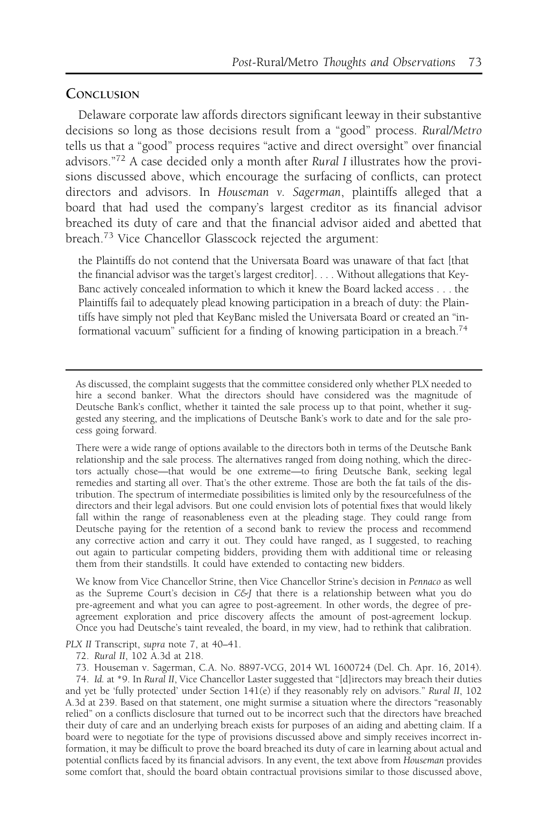### **CONCLUSION**

Delaware corporate law affords directors significant leeway in their substantive decisions so long as those decisions result from a "good" process. Rural/Metro tells us that a "good" process requires "active and direct oversight" over financial advisors."<sup>72</sup> A case decided only a month after Rural I illustrates how the provisions discussed above, which encourage the surfacing of conflicts, can protect directors and advisors. In Houseman v. Sagerman, plaintiffs alleged that a board that had used the company's largest creditor as its financial advisor breached its duty of care and that the financial advisor aided and abetted that breach.<sup>73</sup> Vice Chancellor Glasscock rejected the argument:

the Plaintiffs do not contend that the Universata Board was unaware of that fact [that the financial advisor was the target's largest creditor]. . . . Without allegations that Key-Banc actively concealed information to which it knew the Board lacked access . . . the Plaintiffs fail to adequately plead knowing participation in a breach of duty: the Plaintiffs have simply not pled that KeyBanc misled the Universata Board or created an "informational vacuum" sufficient for a finding of knowing participation in a breach.<sup>74</sup>

There were a wide range of options available to the directors both in terms of the Deutsche Bank relationship and the sale process. The alternatives ranged from doing nothing, which the directors actually chose—that would be one extreme—to firing Deutsche Bank, seeking legal remedies and starting all over. That's the other extreme. Those are both the fat tails of the distribution. The spectrum of intermediate possibilities is limited only by the resourcefulness of the directors and their legal advisors. But one could envision lots of potential fixes that would likely fall within the range of reasonableness even at the pleading stage. They could range from Deutsche paying for the retention of a second bank to review the process and recommend any corrective action and carry it out. They could have ranged, as I suggested, to reaching out again to particular competing bidders, providing them with additional time or releasing them from their standstills. It could have extended to contacting new bidders.

We know from Vice Chancellor Strine, then Vice Chancellor Strine's decision in Pennaco as well as the Supreme Court's decision in  $C\&iJ$  that there is a relationship between what you do pre-agreement and what you can agree to post-agreement. In other words, the degree of preagreement exploration and price discovery affects the amount of post-agreement lockup. Once you had Deutsche's taint revealed, the board, in my view, had to rethink that calibration.

PLX II Transcript, supra note 7, at 40–41.

72. Rural II, 102 A.3d at 218.

73. Houseman v. Sagerman, C.A. No. 8897-VCG, 2014 WL 1600724 (Del. Ch. Apr. 16, 2014). 74. Id. at \*9. In Rural II, Vice Chancellor Laster suggested that "[d]irectors may breach their duties and yet be 'fully protected' under Section 141(e) if they reasonably rely on advisors." Rural II, 102 A.3d at 239. Based on that statement, one might surmise a situation where the directors "reasonably relied" on a conflicts disclosure that turned out to be incorrect such that the directors have breached their duty of care and an underlying breach exists for purposes of an aiding and abetting claim. If a board were to negotiate for the type of provisions discussed above and simply receives incorrect information, it may be difficult to prove the board breached its duty of care in learning about actual and potential conflicts faced by its financial advisors. In any event, the text above from Houseman provides some comfort that, should the board obtain contractual provisions similar to those discussed above,

As discussed, the complaint suggests that the committee considered only whether PLX needed to hire a second banker. What the directors should have considered was the magnitude of Deutsche Bank's conflict, whether it tainted the sale process up to that point, whether it suggested any steering, and the implications of Deutsche Bank's work to date and for the sale process going forward.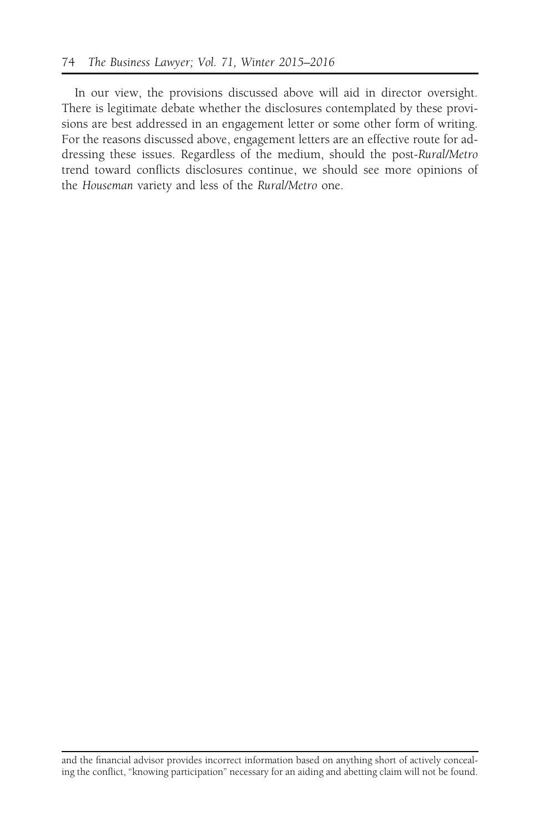In our view, the provisions discussed above will aid in director oversight. There is legitimate debate whether the disclosures contemplated by these provisions are best addressed in an engagement letter or some other form of writing. For the reasons discussed above, engagement letters are an effective route for addressing these issues. Regardless of the medium, should the post-Rural/Metro trend toward conflicts disclosures continue, we should see more opinions of the Houseman variety and less of the Rural/Metro one.

and the financial advisor provides incorrect information based on anything short of actively concealing the conflict, "knowing participation" necessary for an aiding and abetting claim will not be found.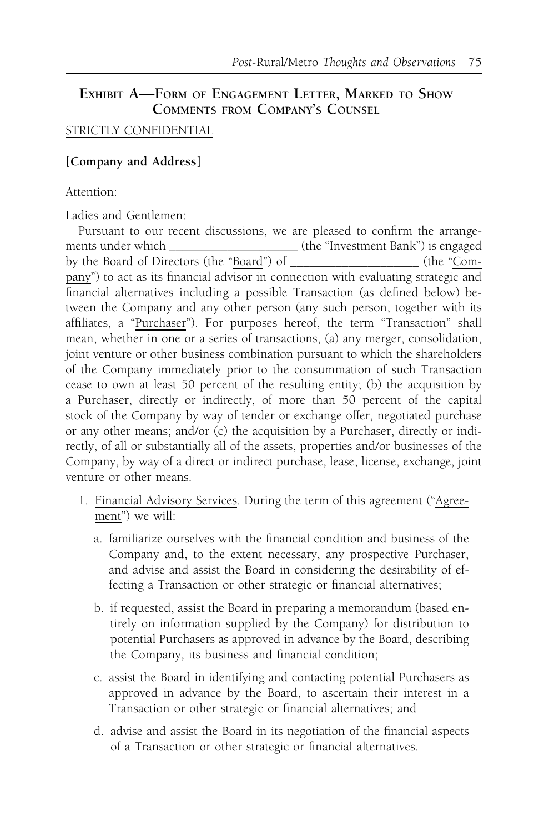# EXHIBIT A-FORM OF ENGAGEMENT LETTER, MARKED TO SHOW COMMENTS FROM COMPANY'S COUNSEL

# STRICTLY CONFIDENTIAL

# [Company and Address]

Attention:

Ladies and Gentlemen:

Pursuant to our recent discussions, we are pleased to confirm the arrangements under which \_\_\_\_\_\_\_\_\_\_\_\_\_\_\_\_\_\_\_\_\_\_\_\_ (the "Investment Bank") is engaged by the Board of Directors (the "Board") of \_\_\_\_\_\_\_\_\_\_\_\_\_\_\_\_\_\_\_\_ (the "Company") to act as its financial advisor in connection with evaluating strategic and financial alternatives including a possible Transaction (as defined below) between the Company and any other person (any such person, together with its affiliates, a "Purchaser"). For purposes hereof, the term "Transaction" shall mean, whether in one or a series of transactions, (a) any merger, consolidation, joint venture or other business combination pursuant to which the shareholders of the Company immediately prior to the consummation of such Transaction cease to own at least 50 percent of the resulting entity; (b) the acquisition by a Purchaser, directly or indirectly, of more than 50 percent of the capital stock of the Company by way of tender or exchange offer, negotiated purchase or any other means; and/or (c) the acquisition by a Purchaser, directly or indirectly, of all or substantially all of the assets, properties and/or businesses of the Company, by way of a direct or indirect purchase, lease, license, exchange, joint venture or other means.

- 1. Financial Advisory Services. During the term of this agreement ("Agreement") we will:
	- a. familiarize ourselves with the financial condition and business of the Company and, to the extent necessary, any prospective Purchaser, and advise and assist the Board in considering the desirability of effecting a Transaction or other strategic or financial alternatives;
	- b. if requested, assist the Board in preparing a memorandum (based entirely on information supplied by the Company) for distribution to potential Purchasers as approved in advance by the Board, describing the Company, its business and financial condition;
	- c. assist the Board in identifying and contacting potential Purchasers as approved in advance by the Board, to ascertain their interest in a Transaction or other strategic or financial alternatives; and
	- d. advise and assist the Board in its negotiation of the financial aspects of a Transaction or other strategic or financial alternatives.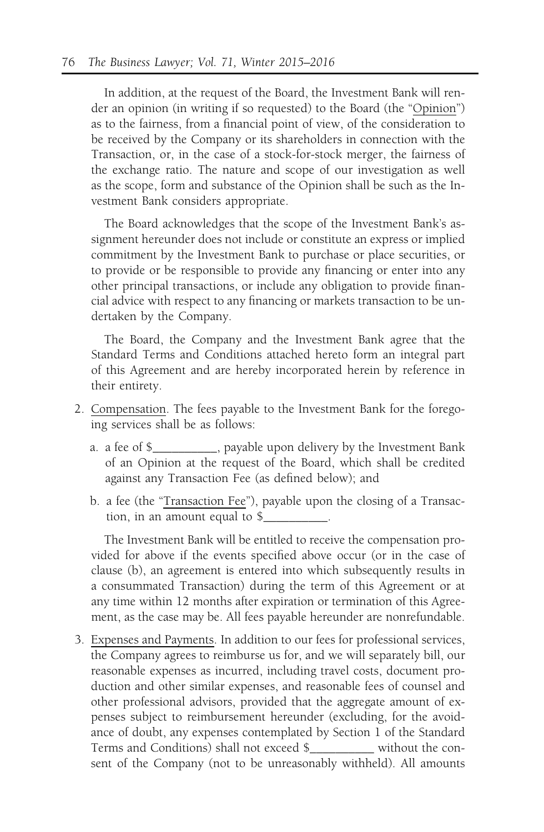In addition, at the request of the Board, the Investment Bank will render an opinion (in writing if so requested) to the Board (the "Opinion") as to the fairness, from a financial point of view, of the consideration to be received by the Company or its shareholders in connection with the Transaction, or, in the case of a stock-for-stock merger, the fairness of the exchange ratio. The nature and scope of our investigation as well as the scope, form and substance of the Opinion shall be such as the Investment Bank considers appropriate.

The Board acknowledges that the scope of the Investment Bank's assignment hereunder does not include or constitute an express or implied commitment by the Investment Bank to purchase or place securities, or to provide or be responsible to provide any financing or enter into any other principal transactions, or include any obligation to provide financial advice with respect to any financing or markets transaction to be undertaken by the Company.

The Board, the Company and the Investment Bank agree that the Standard Terms and Conditions attached hereto form an integral part of this Agreement and are hereby incorporated herein by reference in their entirety.

- 2. Compensation. The fees payable to the Investment Bank for the foregoing services shall be as follows:
	- a. a fee of \$\_\_\_\_\_\_\_\_\_\_, payable upon delivery by the Investment Bank of an Opinion at the request of the Board, which shall be credited against any Transaction Fee (as defined below); and
	- b. a fee (the "Transaction Fee"), payable upon the closing of a Transaction, in an amount equal to \$\_\_\_\_\_\_\_\_\_\_.

The Investment Bank will be entitled to receive the compensation provided for above if the events specified above occur (or in the case of clause (b), an agreement is entered into which subsequently results in a consummated Transaction) during the term of this Agreement or at any time within 12 months after expiration or termination of this Agreement, as the case may be. All fees payable hereunder are nonrefundable.

3. Expenses and Payments. In addition to our fees for professional services, the Company agrees to reimburse us for, and we will separately bill, our reasonable expenses as incurred, including travel costs, document production and other similar expenses, and reasonable fees of counsel and other professional advisors, provided that the aggregate amount of expenses subject to reimbursement hereunder (excluding, for the avoidance of doubt, any expenses contemplated by Section 1 of the Standard Terms and Conditions) shall not exceed \$\_\_\_\_\_\_\_\_\_\_ without the consent of the Company (not to be unreasonably withheld). All amounts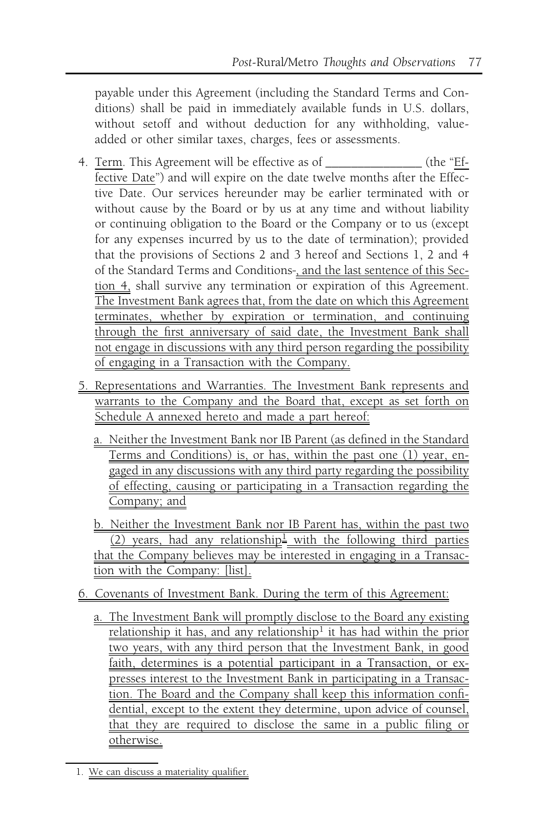payable under this Agreement (including the Standard Terms and Conditions) shall be paid in immediately available funds in U.S. dollars, without setoff and without deduction for any withholding, valueadded or other similar taxes, charges, fees or assessments.

- 4. Term. This Agreement will be effective as of \_\_\_\_\_\_\_\_\_\_\_\_\_\_\_ (the "Effective Date") and will expire on the date twelve months after the Effective Date. Our services hereunder may be earlier terminated with or without cause by the Board or by us at any time and without liability or continuing obligation to the Board or the Company or to us (except for any expenses incurred by us to the date of termination); provided that the provisions of Sections 2 and 3 hereof and Sections 1, 2 and 4 of the Standard Terms and Conditions , and the last sentence of this Section 4, shall survive any termination or expiration of this Agreement. The Investment Bank agrees that, from the date on which this Agreement terminates, whether by expiration or termination, and continuing through the first anniversary of said date, the Investment Bank shall not engage in discussions with any third person regarding the possibility of engaging in a Transaction with the Company.
- 5. Representations and Warranties. The Investment Bank represents and warrants to the Company and the Board that, except as set forth on Schedule A annexed hereto and made a part hereof:
	- a. Neither the Investment Bank nor IB Parent (as defined in the Standard Terms and Conditions) is, or has, within the past one (1) year, engaged in any discussions with any third party regarding the possibility of effecting, causing or participating in a Transaction regarding the Company; and

b. Neither the Investment Bank nor IB Parent has, within the past two (2) years, had any relationship<sup>1</sup> with the following third parties that the Company believes may be interested in engaging in a Transaction with the Company: [list].

- 6. Covenants of Investment Bank. During the term of this Agreement:
	- a. The Investment Bank will promptly disclose to the Board any existing relationship it has, and any relationship<sup>1</sup> it has had within the prior two years, with any third person that the Investment Bank, in good faith, determines is a potential participant in a Transaction, or expresses interest to the Investment Bank in participating in a Transaction. The Board and the Company shall keep this information confidential, except to the extent they determine, upon advice of counsel, that they are required to disclose the same in a public filing or otherwise.

<sup>1.</sup> We can discuss a materiality qualifier.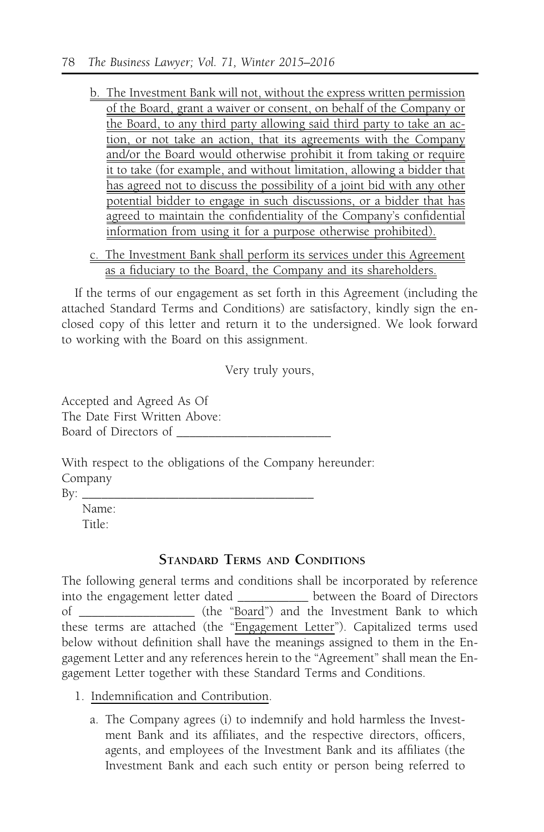- b. The Investment Bank will not, without the express written permission of the Board, grant a waiver or consent, on behalf of the Company or the Board, to any third party allowing said third party to take an action, or not take an action, that its agreements with the Company and/or the Board would otherwise prohibit it from taking or require it to take (for example, and without limitation, allowing a bidder that has agreed not to discuss the possibility of a joint bid with any other potential bidder to engage in such discussions, or a bidder that has agreed to maintain the confidentiality of the Company's confidential information from using it for a purpose otherwise prohibited).
- c. The Investment Bank shall perform its services under this Agreement as a fiduciary to the Board, the Company and its shareholders.

If the terms of our engagement as set forth in this Agreement (including the attached Standard Terms and Conditions) are satisfactory, kindly sign the enclosed copy of this letter and return it to the undersigned. We look forward to working with the Board on this assignment.

Very truly yours,

Accepted and Agreed As Of The Date First Written Above: Board of Directors of \_\_\_\_\_\_\_\_\_\_\_\_\_\_\_\_\_\_\_\_\_\_\_\_

With respect to the obligations of the Company hereunder: Company

 $\rm{By:} \perp$ 

Name: Title:

# STANDARD TERMS AND CONDITIONS

The following general terms and conditions shall be incorporated by reference into the engagement letter dated \_\_\_\_\_\_\_\_\_\_\_ between the Board of Directors of \_\_\_\_\_\_\_\_\_\_\_\_\_\_\_\_\_\_ (the "Board") and the Investment Bank to which these terms are attached (the "Engagement Letter"). Capitalized terms used below without definition shall have the meanings assigned to them in the Engagement Letter and any references herein to the "Agreement" shall mean the Engagement Letter together with these Standard Terms and Conditions.

- 1. Indemnification and Contribution.
	- a. The Company agrees (i) to indemnify and hold harmless the Investment Bank and its affiliates, and the respective directors, officers, agents, and employees of the Investment Bank and its affiliates (the Investment Bank and each such entity or person being referred to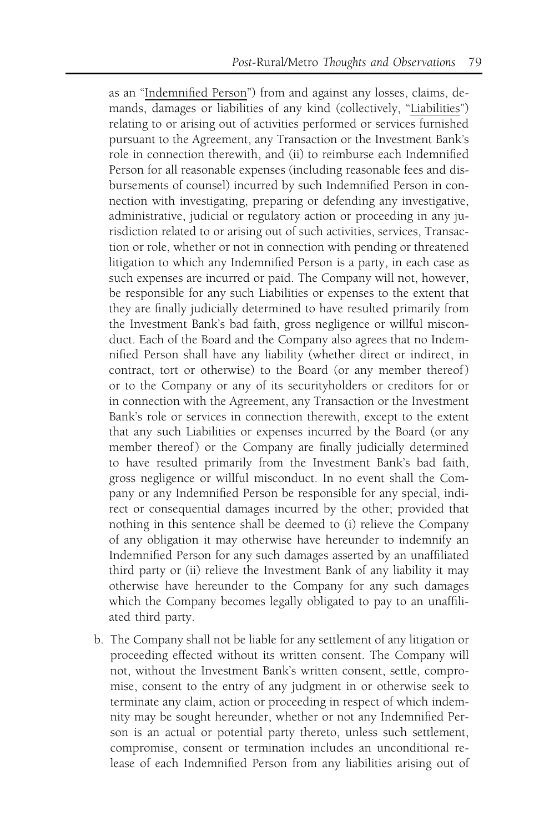as an "Indemnified Person") from and against any losses, claims, demands, damages or liabilities of any kind (collectively, "Liabilities") relating to or arising out of activities performed or services furnished pursuant to the Agreement, any Transaction or the Investment Bank's role in connection therewith, and (ii) to reimburse each Indemnified Person for all reasonable expenses (including reasonable fees and disbursements of counsel) incurred by such Indemnified Person in connection with investigating, preparing or defending any investigative, administrative, judicial or regulatory action or proceeding in any jurisdiction related to or arising out of such activities, services, Transaction or role, whether or not in connection with pending or threatened litigation to which any Indemnified Person is a party, in each case as such expenses are incurred or paid. The Company will not, however, be responsible for any such Liabilities or expenses to the extent that they are finally judicially determined to have resulted primarily from the Investment Bank's bad faith, gross negligence or willful misconduct. Each of the Board and the Company also agrees that no Indemnified Person shall have any liability (whether direct or indirect, in contract, tort or otherwise) to the Board (or any member thereof) or to the Company or any of its securityholders or creditors for or in connection with the Agreement, any Transaction or the Investment Bank's role or services in connection therewith, except to the extent that any such Liabilities or expenses incurred by the Board (or any member thereof) or the Company are finally judicially determined to have resulted primarily from the Investment Bank's bad faith, gross negligence or willful misconduct. In no event shall the Company or any Indemnified Person be responsible for any special, indirect or consequential damages incurred by the other; provided that nothing in this sentence shall be deemed to (i) relieve the Company of any obligation it may otherwise have hereunder to indemnify an Indemnified Person for any such damages asserted by an unaffiliated third party or (ii) relieve the Investment Bank of any liability it may otherwise have hereunder to the Company for any such damages which the Company becomes legally obligated to pay to an unaffiliated third party.

b. The Company shall not be liable for any settlement of any litigation or proceeding effected without its written consent. The Company will not, without the Investment Bank's written consent, settle, compromise, consent to the entry of any judgment in or otherwise seek to terminate any claim, action or proceeding in respect of which indemnity may be sought hereunder, whether or not any Indemnified Person is an actual or potential party thereto, unless such settlement, compromise, consent or termination includes an unconditional release of each Indemnified Person from any liabilities arising out of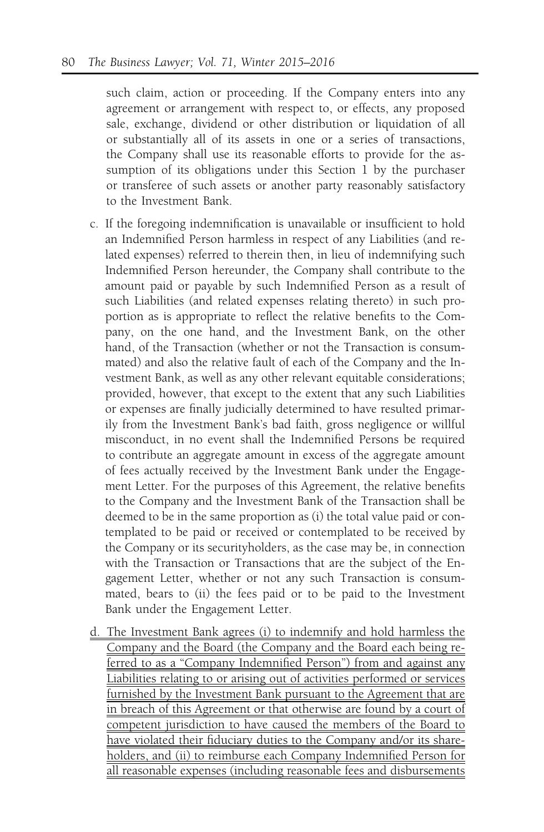such claim, action or proceeding. If the Company enters into any agreement or arrangement with respect to, or effects, any proposed sale, exchange, dividend or other distribution or liquidation of all or substantially all of its assets in one or a series of transactions, the Company shall use its reasonable efforts to provide for the assumption of its obligations under this Section 1 by the purchaser or transferee of such assets or another party reasonably satisfactory to the Investment Bank.

- c. If the foregoing indemnification is unavailable or insufficient to hold an Indemnified Person harmless in respect of any Liabilities (and related expenses) referred to therein then, in lieu of indemnifying such Indemnified Person hereunder, the Company shall contribute to the amount paid or payable by such Indemnified Person as a result of such Liabilities (and related expenses relating thereto) in such proportion as is appropriate to reflect the relative benefits to the Company, on the one hand, and the Investment Bank, on the other hand, of the Transaction (whether or not the Transaction is consummated) and also the relative fault of each of the Company and the Investment Bank, as well as any other relevant equitable considerations; provided, however, that except to the extent that any such Liabilities or expenses are finally judicially determined to have resulted primarily from the Investment Bank's bad faith, gross negligence or willful misconduct, in no event shall the Indemnified Persons be required to contribute an aggregate amount in excess of the aggregate amount of fees actually received by the Investment Bank under the Engagement Letter. For the purposes of this Agreement, the relative benefits to the Company and the Investment Bank of the Transaction shall be deemed to be in the same proportion as (i) the total value paid or contemplated to be paid or received or contemplated to be received by the Company or its securityholders, as the case may be, in connection with the Transaction or Transactions that are the subject of the Engagement Letter, whether or not any such Transaction is consummated, bears to (ii) the fees paid or to be paid to the Investment Bank under the Engagement Letter.
- d. The Investment Bank agrees (i) to indemnify and hold harmless the Company and the Board (the Company and the Board each being referred to as a "Company Indemnified Person") from and against any Liabilities relating to or arising out of activities performed or services furnished by the Investment Bank pursuant to the Agreement that are in breach of this Agreement or that otherwise are found by a court of competent jurisdiction to have caused the members of the Board to have violated their fiduciary duties to the Company and/or its shareholders, and (ii) to reimburse each Company Indemnified Person for all reasonable expenses (including reasonable fees and disbursements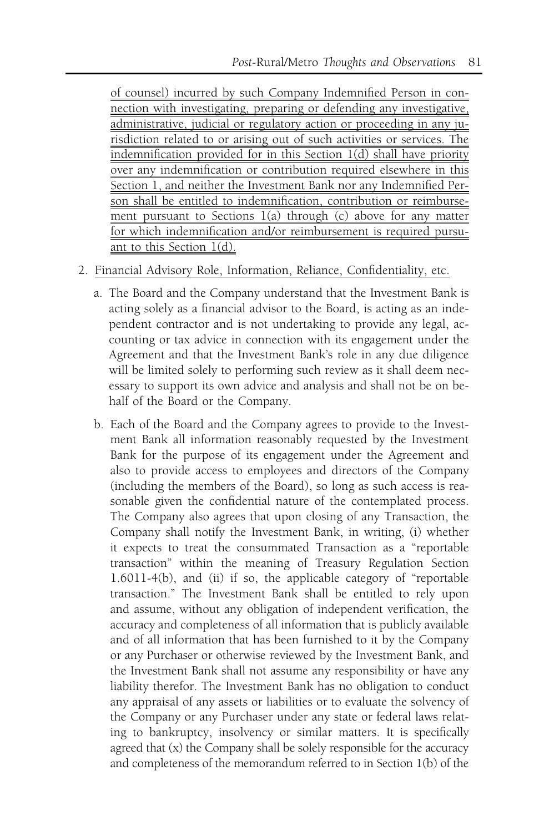of counsel) incurred by such Company Indemnified Person in connection with investigating, preparing or defending any investigative, administrative, judicial or regulatory action or proceeding in any jurisdiction related to or arising out of such activities or services. The indemnification provided for in this Section 1(d) shall have priority over any indemnification or contribution required elsewhere in this Section 1, and neither the Investment Bank nor any Indemnified Person shall be entitled to indemnification, contribution or reimbursement pursuant to Sections 1(a) through (c) above for any matter for which indemnification and/or reimbursement is required pursuant to this Section 1(d).

- 2. Financial Advisory Role, Information, Reliance, Confidentiality, etc.
	- a. The Board and the Company understand that the Investment Bank is acting solely as a financial advisor to the Board, is acting as an independent contractor and is not undertaking to provide any legal, accounting or tax advice in connection with its engagement under the Agreement and that the Investment Bank's role in any due diligence will be limited solely to performing such review as it shall deem necessary to support its own advice and analysis and shall not be on behalf of the Board or the Company.
	- b. Each of the Board and the Company agrees to provide to the Investment Bank all information reasonably requested by the Investment Bank for the purpose of its engagement under the Agreement and also to provide access to employees and directors of the Company (including the members of the Board), so long as such access is reasonable given the confidential nature of the contemplated process. The Company also agrees that upon closing of any Transaction, the Company shall notify the Investment Bank, in writing, (i) whether it expects to treat the consummated Transaction as a "reportable transaction" within the meaning of Treasury Regulation Section 1.6011-4(b), and (ii) if so, the applicable category of "reportable transaction." The Investment Bank shall be entitled to rely upon and assume, without any obligation of independent verification, the accuracy and completeness of all information that is publicly available and of all information that has been furnished to it by the Company or any Purchaser or otherwise reviewed by the Investment Bank, and the Investment Bank shall not assume any responsibility or have any liability therefor. The Investment Bank has no obligation to conduct any appraisal of any assets or liabilities or to evaluate the solvency of the Company or any Purchaser under any state or federal laws relating to bankruptcy, insolvency or similar matters. It is specifically agreed that (x) the Company shall be solely responsible for the accuracy and completeness of the memorandum referred to in Section 1(b) of the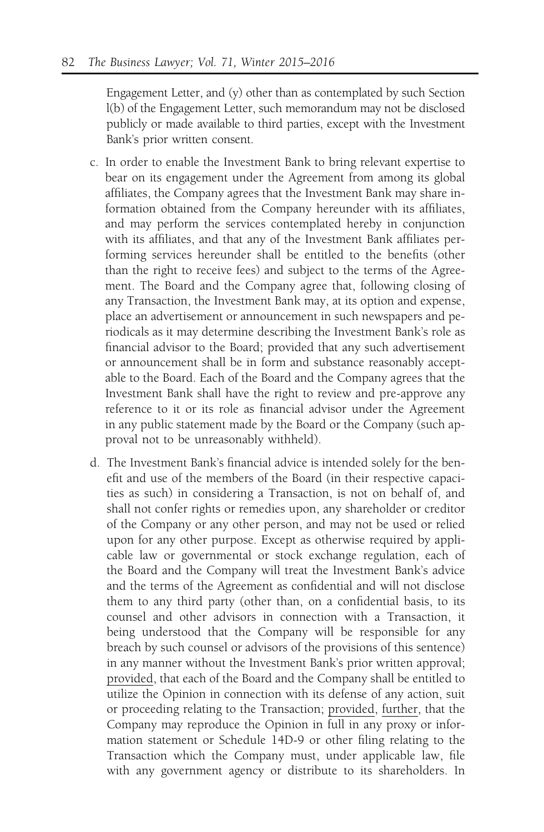Engagement Letter, and (y) other than as contemplated by such Section l(b) of the Engagement Letter, such memorandum may not be disclosed publicly or made available to third parties, except with the Investment Bank's prior written consent.

- c. In order to enable the Investment Bank to bring relevant expertise to bear on its engagement under the Agreement from among its global affiliates, the Company agrees that the Investment Bank may share information obtained from the Company hereunder with its affiliates, and may perform the services contemplated hereby in conjunction with its affiliates, and that any of the Investment Bank affiliates performing services hereunder shall be entitled to the benefits (other than the right to receive fees) and subject to the terms of the Agreement. The Board and the Company agree that, following closing of any Transaction, the Investment Bank may, at its option and expense, place an advertisement or announcement in such newspapers and periodicals as it may determine describing the Investment Bank's role as financial advisor to the Board; provided that any such advertisement or announcement shall be in form and substance reasonably acceptable to the Board. Each of the Board and the Company agrees that the Investment Bank shall have the right to review and pre-approve any reference to it or its role as financial advisor under the Agreement in any public statement made by the Board or the Company (such approval not to be unreasonably withheld).
- d. The Investment Bank's financial advice is intended solely for the benefit and use of the members of the Board (in their respective capacities as such) in considering a Transaction, is not on behalf of, and shall not confer rights or remedies upon, any shareholder or creditor of the Company or any other person, and may not be used or relied upon for any other purpose. Except as otherwise required by applicable law or governmental or stock exchange regulation, each of the Board and the Company will treat the Investment Bank's advice and the terms of the Agreement as confidential and will not disclose them to any third party (other than, on a confidential basis, to its counsel and other advisors in connection with a Transaction, it being understood that the Company will be responsible for any breach by such counsel or advisors of the provisions of this sentence) in any manner without the Investment Bank's prior written approval; provided, that each of the Board and the Company shall be entitled to utilize the Opinion in connection with its defense of any action, suit or proceeding relating to the Transaction; provided, further, that the Company may reproduce the Opinion in full in any proxy or information statement or Schedule 14D-9 or other filing relating to the Transaction which the Company must, under applicable law, file with any government agency or distribute to its shareholders. In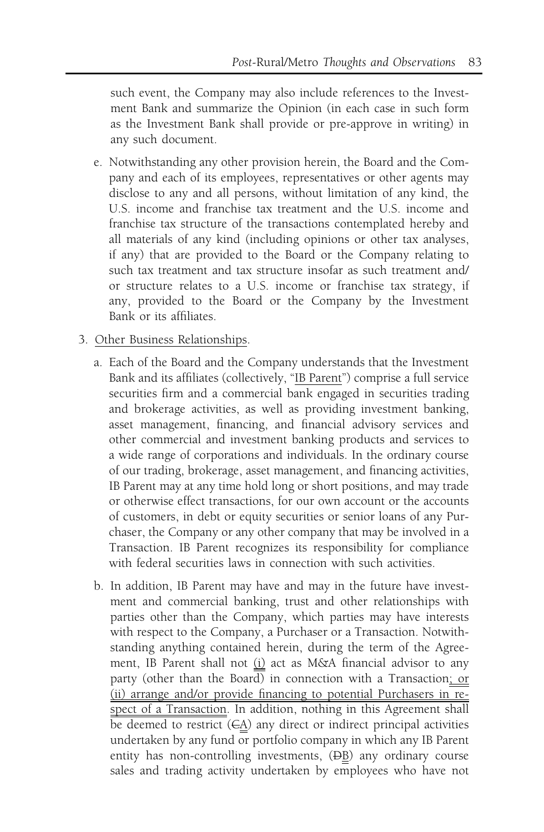such event, the Company may also include references to the Investment Bank and summarize the Opinion (in each case in such form as the Investment Bank shall provide or pre-approve in writing) in any such document.

- e. Notwithstanding any other provision herein, the Board and the Company and each of its employees, representatives or other agents may disclose to any and all persons, without limitation of any kind, the U.S. income and franchise tax treatment and the U.S. income and franchise tax structure of the transactions contemplated hereby and all materials of any kind (including opinions or other tax analyses, if any) that are provided to the Board or the Company relating to such tax treatment and tax structure insofar as such treatment and/ or structure relates to a U.S. income or franchise tax strategy, if any, provided to the Board or the Company by the Investment Bank or its affiliates.
- 3. Other Business Relationships.
	- a. Each of the Board and the Company understands that the Investment Bank and its affiliates (collectively, "IB Parent") comprise a full service securities firm and a commercial bank engaged in securities trading and brokerage activities, as well as providing investment banking, asset management, financing, and financial advisory services and other commercial and investment banking products and services to a wide range of corporations and individuals. In the ordinary course of our trading, brokerage, asset management, and financing activities, IB Parent may at any time hold long or short positions, and may trade or otherwise effect transactions, for our own account or the accounts of customers, in debt or equity securities or senior loans of any Purchaser, the Company or any other company that may be involved in a Transaction. IB Parent recognizes its responsibility for compliance with federal securities laws in connection with such activities.
	- b. In addition, IB Parent may have and may in the future have investment and commercial banking, trust and other relationships with parties other than the Company, which parties may have interests with respect to the Company, a Purchaser or a Transaction. Notwithstanding anything contained herein, during the term of the Agreement, IB Parent shall not (i) act as M&A financial advisor to any party (other than the Board) in connection with a Transaction; or (ii) arrange and/or provide financing to potential Purchasers in respect of a Transaction. In addition, nothing in this Agreement shall be deemed to restrict  $(\epsilon \underline{A})$  any direct or indirect principal activities undertaken by any fund or portfolio company in which any IB Parent entity has non-controlling investments,  $(\overline{DB})$  any ordinary course sales and trading activity undertaken by employees who have not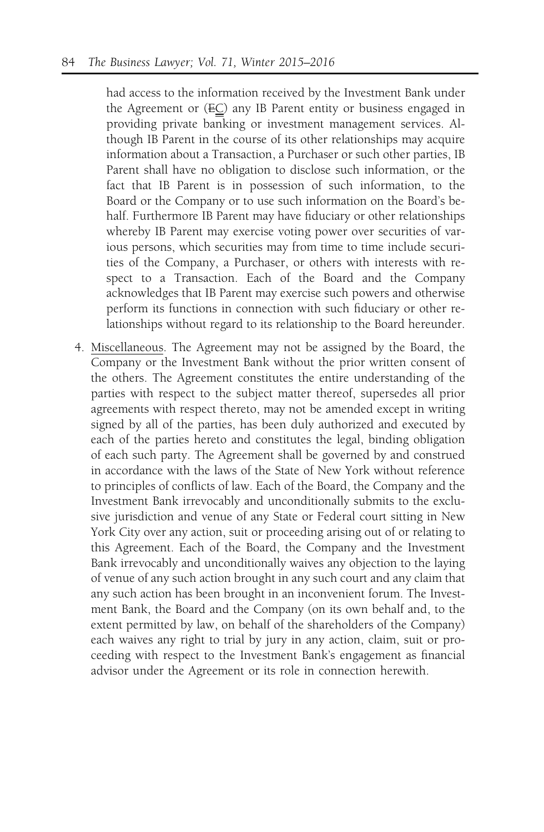had access to the information received by the Investment Bank under the Agreement or  $(EC)$  any IB Parent entity or business engaged in providing private banking or investment management services. Although IB Parent in the course of its other relationships may acquire information about a Transaction, a Purchaser or such other parties, IB Parent shall have no obligation to disclose such information, or the fact that IB Parent is in possession of such information, to the Board or the Company or to use such information on the Board's behalf. Furthermore IB Parent may have fiduciary or other relationships whereby IB Parent may exercise voting power over securities of various persons, which securities may from time to time include securities of the Company, a Purchaser, or others with interests with respect to a Transaction. Each of the Board and the Company acknowledges that IB Parent may exercise such powers and otherwise perform its functions in connection with such fiduciary or other relationships without regard to its relationship to the Board hereunder.

4. Miscellaneous. The Agreement may not be assigned by the Board, the Company or the Investment Bank without the prior written consent of the others. The Agreement constitutes the entire understanding of the parties with respect to the subject matter thereof, supersedes all prior agreements with respect thereto, may not be amended except in writing signed by all of the parties, has been duly authorized and executed by each of the parties hereto and constitutes the legal, binding obligation of each such party. The Agreement shall be governed by and construed in accordance with the laws of the State of New York without reference to principles of conflicts of law. Each of the Board, the Company and the Investment Bank irrevocably and unconditionally submits to the exclusive jurisdiction and venue of any State or Federal court sitting in New York City over any action, suit or proceeding arising out of or relating to this Agreement. Each of the Board, the Company and the Investment Bank irrevocably and unconditionally waives any objection to the laying of venue of any such action brought in any such court and any claim that any such action has been brought in an inconvenient forum. The Investment Bank, the Board and the Company (on its own behalf and, to the extent permitted by law, on behalf of the shareholders of the Company) each waives any right to trial by jury in any action, claim, suit or proceeding with respect to the Investment Bank's engagement as financial advisor under the Agreement or its role in connection herewith.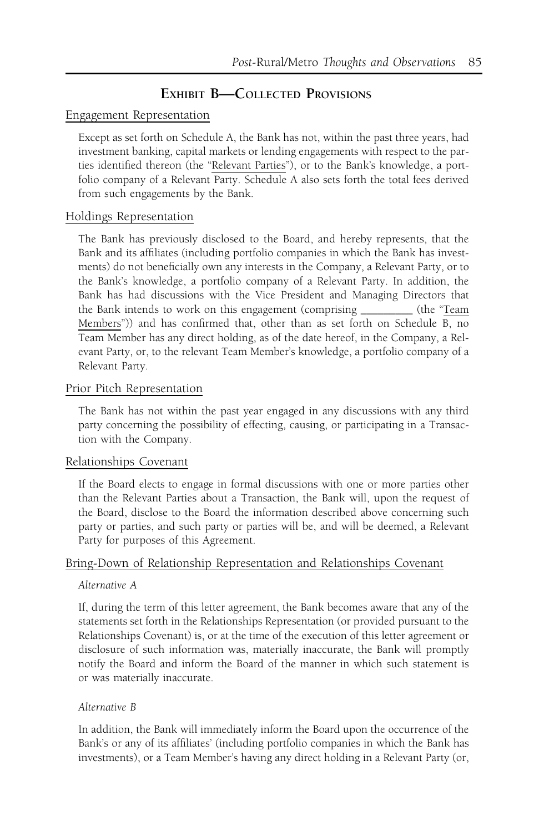# EXHIBIT B-COLLECTED PROVISIONS

### Engagement Representation

Except as set forth on Schedule A, the Bank has not, within the past three years, had investment banking, capital markets or lending engagements with respect to the parties identified thereon (the "Relevant Parties"), or to the Bank's knowledge, a portfolio company of a Relevant Party. Schedule A also sets forth the total fees derived from such engagements by the Bank.

### Holdings Representation

The Bank has previously disclosed to the Board, and hereby represents, that the Bank and its affiliates (including portfolio companies in which the Bank has investments) do not beneficially own any interests in the Company, a Relevant Party, or to the Bank's knowledge, a portfolio company of a Relevant Party. In addition, the Bank has had discussions with the Vice President and Managing Directors that the Bank intends to work on this engagement (comprising \_\_\_\_\_\_\_\_\_ (the "Team Members")) and has confirmed that, other than as set forth on Schedule B, no Team Member has any direct holding, as of the date hereof, in the Company, a Relevant Party, or, to the relevant Team Member's knowledge, a portfolio company of a Relevant Party.

### Prior Pitch Representation

The Bank has not within the past year engaged in any discussions with any third party concerning the possibility of effecting, causing, or participating in a Transaction with the Company.

#### Relationships Covenant

If the Board elects to engage in formal discussions with one or more parties other than the Relevant Parties about a Transaction, the Bank will, upon the request of the Board, disclose to the Board the information described above concerning such party or parties, and such party or parties will be, and will be deemed, a Relevant Party for purposes of this Agreement.

### Bring-Down of Relationship Representation and Relationships Covenant

#### Alternative A

If, during the term of this letter agreement, the Bank becomes aware that any of the statements set forth in the Relationships Representation (or provided pursuant to the Relationships Covenant) is, or at the time of the execution of this letter agreement or disclosure of such information was, materially inaccurate, the Bank will promptly notify the Board and inform the Board of the manner in which such statement is or was materially inaccurate.

#### Alternative B

In addition, the Bank will immediately inform the Board upon the occurrence of the Bank's or any of its affiliates' (including portfolio companies in which the Bank has investments), or a Team Member's having any direct holding in a Relevant Party (or,